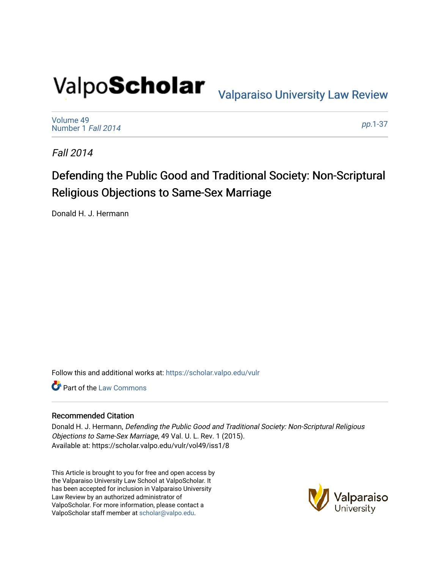# Valpo**Scholar** <sub>Valparaiso University Law Review</sub>

[Volume 49](https://scholar.valpo.edu/vulr/vol49) [Number 1](https://scholar.valpo.edu/vulr/vol49/iss1) Fall 2014

pp.[1-37](https://scholar.valpo.edu/vulr/vol49/iss1/8) 

Fall 2014

# Defending the Public Good and Traditional Society: Non-Scriptural Religious Objections to Same-Sex Marriage

Donald H. J. Hermann

Follow this and additional works at: [https://scholar.valpo.edu/vulr](https://scholar.valpo.edu/vulr?utm_source=scholar.valpo.edu%2Fvulr%2Fvol49%2Fiss1%2F8&utm_medium=PDF&utm_campaign=PDFCoverPages)

Part of the [Law Commons](http://network.bepress.com/hgg/discipline/578?utm_source=scholar.valpo.edu%2Fvulr%2Fvol49%2Fiss1%2F8&utm_medium=PDF&utm_campaign=PDFCoverPages)

#### Recommended Citation

Donald H. J. Hermann, Defending the Public Good and Traditional Society: Non-Scriptural Religious Objections to Same-Sex Marriage, 49 Val. U. L. Rev. 1 (2015). Available at: https://scholar.valpo.edu/vulr/vol49/iss1/8

This Article is brought to you for free and open access by the Valparaiso University Law School at ValpoScholar. It has been accepted for inclusion in Valparaiso University Law Review by an authorized administrator of ValpoScholar. For more information, please contact a ValpoScholar staff member at [scholar@valpo.edu](mailto:scholar@valpo.edu).

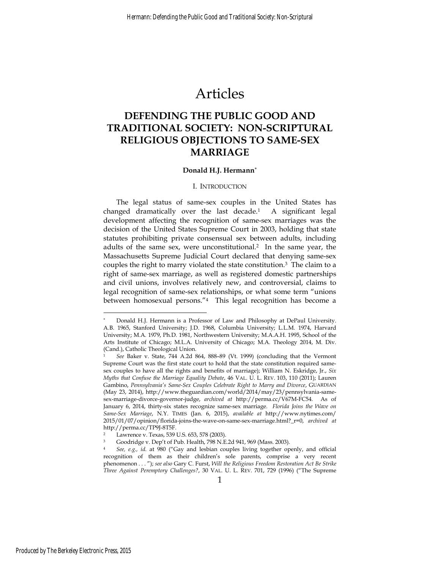# Articles

## **DEFENDING THE PUBLIC GOOD AND TRADITIONAL SOCIETY: NON-SCRIPTURAL RELIGIOUS OBJECTIONS TO SAME-SEX MARRIAGE**

#### **Donald H.J. Hermann**<sup>∗</sup>

#### I. INTRODUCTION

The legal status of same-sex couples in the United States has changed dramatically over the last decade.1 A significant legal development affecting the recognition of same-sex marriages was the decision of the United States Supreme Court in 2003, holding that state statutes prohibiting private consensual sex between adults, including adults of the same sex, were unconstitutional.<sup>2</sup> In the same year, the Massachusetts Supreme Judicial Court declared that denying same-sex couples the right to marry violated the state constitution.3 The claim to a right of same-sex marriage, as well as registered domestic partnerships and civil unions, involves relatively new, and controversial, claims to legal recognition of same-sex relationships, or what some term "unions between homosexual persons."4 This legal recognition has become a

<sup>∗</sup> Donald H.J. Hermann is a Professor of Law and Philosophy at DePaul University. A.B. 1965, Stanford University; J.D. 1968, Columbia University; L.L.M. 1974, Harvard University; M.A. 1979, Ph.D. 1981, Northwestern University; M.A.A.H. 1995, School of the Arts Institute of Chicago; M.L.A. University of Chicago; M.A. Theology 2014, M. Div. (Cand.), Catholic Theological Union.

<sup>1</sup> *See* Baker v. State, 744 A.2d 864, 888–89 (Vt. 1999) (concluding that the Vermont Supreme Court was the first state court to hold that the state constitution required samesex couples to have all the rights and benefits of marriage); William N. Eskridge, Jr., *Six Myths that Confuse the Marriage Equality Debate*, 46 VAL. U. L. REV. 103, 110 (2011); Lauren Gambino, *Pennsylvania's Same-Sex Couples Celebrate Right to Marry and Divorce*, GUARDIAN (May 23, 2014), http://www.theguardian.com/world/2014/may/23/pennsylvania-samesex-marriage-divorce-governor-judge, *archived at* http://perma.cc/V67M-FC54. As of January 6, 2014, thirty-six states recognize same-sex marriage. *Florida Joins the Wave on Same-Sex Marriage*, N.Y. TIMES (Jan. 6, 2015), *available at* http://www.nytimes.com/ 2015/01/07/opinion/florida-joins-the-wave-on-same-sex-marriage.html?\_r=0, *archived at* http://perma.cc/TP9J-8T5F.

Lawrence v. Texas, 539 U.S. 653, 578 (2003).

<sup>3</sup> Goodridge v. Dep't of Pub. Health, 798 N.E.2d 941, 969 (Mass. 2003).

<sup>4</sup> *See, e.g., id*. at 980 ("Gay and lesbian couples living together openly, and official recognition of them as their children's sole parents, comprise a very recent phenomenon . . . "); *see also* Gary C. Furst, *Will the Religious Freedom Restoration Act Be Strike Three Against Peremptory Challenges?*, 30 VAL. U. L. REV. 701, 729 (1996) ("The Supreme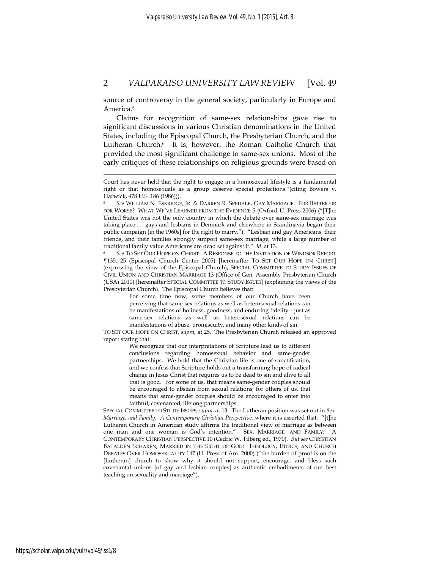source of controversy in the general society, particularly in Europe and America.5

Claims for recognition of same-sex relationships gave rise to significant discussions in various Christian denominations in the United States, including the Episcopal Church, the Presbyterian Church, and the Lutheran Church.<sup>6</sup> It is, however, the Roman Catholic Church that provided the most significant challenge to same-sex unions. Most of the early critiques of these relationships on religious grounds were based on

¶135, 25 (Episcopal Church Center 2005) [hereinafter TO SET OUR HOPE ON CHRIST] (expressing the view of the Episcopal Church); SPECIAL COMMITTEE TO STUDY ISSUES OF CIVIL UNION AND CHRISTIAN MARRIAGE 13 (Office of Gen. Assembly Presbyterian Church (USA) 2010) [hereinafter SPECIAL COMMITTEE TO STUDY ISSUES] (explaining the views of the Presbyterian Church). The Episcopal Church believes that:

> For some time now, some members of our Church have been perceiving that same-sex relations as well as heterosexual relations can be manifestations of holiness, goodness, and enduring fidelity—just as same-sex relations as well as heterosexual relations can be manifestations of abuse, promiscuity, and many other kinds of sin.

TO SET OUR HOPE ON CHRIST, *supra*, at 25. The Presbyterian Church released an approved report stating that:

> We recognize that our interpretations of Scripture lead us to different conclusions regarding homosexual behavior and same-gender partnerships. We hold that the Christian life is one of sanctification, and we confess that Scripture holds out a transforming hope of radical change in Jesus Christ that requires us to be dead to sin and alive to all that is good. For some of us, that means same-gender couples should be encouraged to abstain from sexual relations; for others of us, that means that same-gender couples should be encouraged to enter into faithful, covenanted, lifelong partnerships.

SPECIAL COMMITTEE TO STUDY ISSUES, *supra*, at 13. The Lutheran position was set out in *Sex, Marriage, and Family: A Contemporary Christian Perspective*, where it is asserted that: "[t]he Lutheran Church in American study affirms the traditional view of marriage as between one man and one woman is God's intention." SEX, MARRIAGE, AND FAMILY: A CONTEMPORARY CHRISTIAN PERSPECTIVE 10 (Cedric W. Tilberg ed., 1970). *But see* CHRISTIAN BATALDEN SCHAREN, MARRIED IN THE SIGHT OF GOD: THEOLOGY, ETHICS, AND CHURCH DEBATES OVER HOMOSEXUALITY 147 (U. Press of Am. 2000) ("the burden of proof is on the [Lutheran] church to show why it should not support, encourage, and bless such covenantal unions [of gay and lesbian couples] as authentic embodiments of our best teaching on sexuality and marriage").

Court has never held that the right to engage in a homosexual lifestyle is a fundamental right or that homosexuals as a group deserve special protections."(citing Bowers v. Harwick, 478 U.S. 186 (1986))).

<sup>5</sup> *See* WILLIAM N. ESKRIDGE, JR. & DARREN R. SPEDALE, GAY MARRIAGE: FOR BETTER OR FOR WORSE? WHAT WE'VE LEARNED FROM THE EVIDENCE 5 (Oxford U. Press 2006) ("[T]he United States was not the only country in which the debate over same-sex marriage was taking place . . . gays and lesbians in Denmark and elsewhere in Scandinavia began their public campaign [in the 1960s] for the right to marry."). "Lesbian and gay Americans, their friends, and their families strongly support same-sex marriage, while a large number of traditional family value Americans are dead set against it." *Id*. at 13.<br><sup>6</sup> *See* TO SET OUR HOPE ON CHRIST: A RESPONSE TO THE INVITATION OF WINDSOR REPORT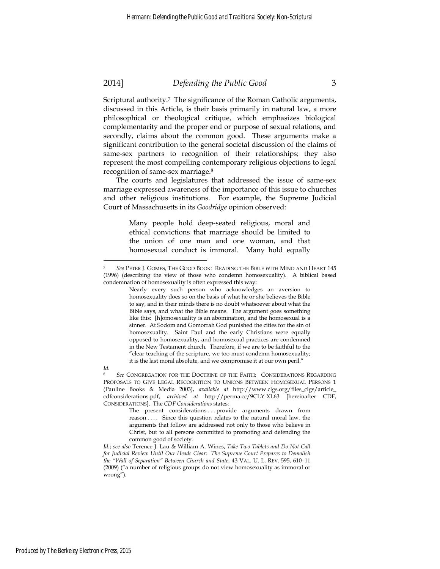Scriptural authority.7 The significance of the Roman Catholic arguments, discussed in this Article, is their basis primarily in natural law, a more philosophical or theological critique, which emphasizes biological complementarity and the proper end or purpose of sexual relations, and secondly, claims about the common good. These arguments make a significant contribution to the general societal discussion of the claims of same-sex partners to recognition of their relationships; they also represent the most compelling contemporary religious objections to legal recognition of same-sex marriage.8

The courts and legislatures that addressed the issue of same-sex marriage expressed awareness of the importance of this issue to churches and other religious institutions. For example, the Supreme Judicial Court of Massachusetts in its *Goodridge* opinion observed:

> Many people hold deep-seated religious, moral and ethical convictions that marriage should be limited to the union of one man and one woman, and that homosexual conduct is immoral. Many hold equally

<sup>7</sup> *See* PETER J. GOMES, THE GOOD BOOK: READING THE BIBLE WITH MIND AND HEART 145 (1996) (describing the view of those who condemn homosexuality). A biblical based condemnation of homosexuality is often expressed this way:

Nearly every such person who acknowledges an aversion to homosexuality does so on the basis of what he or she believes the Bible to say, and in their minds there is no doubt whatsoever about what the Bible says, and what the Bible means. The argument goes something like this: [h]omosexuality is an abomination, and the homosexual is a sinner. At Sodom and Gomorrah God punished the cities for the sin of homosexuality. Saint Paul and the early Christians were equally opposed to homosexuality, and homosexual practices are condemned in the New Testament church. Therefore, if we are to be faithful to the "clear teaching of the scripture, we too must condemn homosexuality; it is the last moral absolute, and we compromise it at our own peril."

*Id.*

<sup>8</sup> *See* CONGREGATION FOR THE DOCTRINE OF THE FAITH: CONSIDERATIONS REGARDING PROPOSALS TO GIVE LEGAL RECOGNITION TO UNIONS BETWEEN HOMOSEXUAL PERSONS 1 (Pauline Books & Media 2003), *available at* http://www.clgs.org/files\_clgs/article\_ cdfconsiderations.pdf, *archived at* http://perma.cc/9CLY-XL63 [hereinafter CDF, CONSIDERATIONS]. The *CDF Considerations* states:

The present considerations ... provide arguments drawn from reason . . . . Since this question relates to the natural moral law, the arguments that follow are addressed not only to those who believe in Christ, but to all persons committed to promoting and defending the common good of society.

*Id.*; *see also* Terence J. Lau & William A. Wines, *Take Two Tablets and Do Not Call for Judicial Review Until Our Heads Clear: The Supreme Court Prepares to Demolish the "Wall of Separation" Between Church and State*, 43 VAL. U. L. REV. 595, 610–11 (2009) ("a number of religious groups do not view homosexuality as immoral or wrong").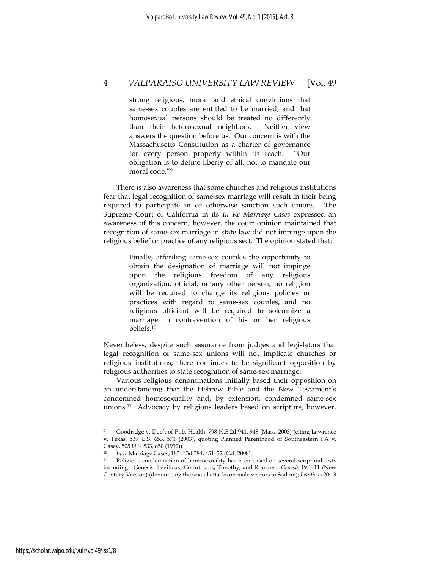strong religious, moral and ethical convictions that same-sex couples are entitled to be married, and that homosexual persons should be treated no differently than their heterosexual neighbors. Neither view answers the question before us. Our concern is with the Massachusetts Constitution as a charter of governance for every person properly within its reach. "Our obligation is to define liberty of all, not to mandate our moral code."9

There is also awareness that some churches and religious institutions fear that legal recognition of same-sex marriage will result in their being required to participate in or otherwise sanction such unions. The Supreme Court of California in its *In Re Marriage Cases* expressed an awareness of this concern; however, the court opinion maintained that recognition of same-sex marriage in state law did not impinge upon the religious belief or practice of any religious sect. The opinion stated that:

> Finally, affording same-sex couples the opportunity to obtain the designation of marriage will not impinge upon the religious freedom of any religious organization, official, or any other person; no religion will be required to change its religious policies or practices with regard to same-sex couples, and no religious officiant will be required to solemnize a marriage in contravention of his or her religious beliefs.10

Nevertheless, despite such assurance from judges and legislators that legal recognition of same-sex unions will not implicate churches or religious institutions, there continues to be significant opposition by religious authorities to state recognition of same-sex marriage.

Various religious denominations initially based their opposition on an understanding that the Hebrew Bible and the New Testament's condemned homosexuality and, by extension, condemned same-sex unions.11 Advocacy by religious leaders based on scripture, however,

<sup>9</sup> Goodridge v. Dep't of Pub. Health, 798 N.E.2d 941, 948 (Mass. 2003) (citing Lawrence v. Texas, 539 U.S. 653, 571 (2003), quoting Planned Parenthood of Southeastern PA v. Casey, 505 U.S. 833, 850 (1992)).<br><sup>10</sup> In re Marriage Cases, 183 P.3d 384, 451-52 (Cal. 2008).

<sup>&</sup>lt;sup>11</sup> Religious condemnation of homosexuality has been based on several scriptural texts including: Genesis, Leviticus, Corinthians, Timothy, and Romans. *Genesis* 19:1–11 (New Century Version) (denouncing the sexual attacks on male visitors to Sodom); *Leviticus* 20:13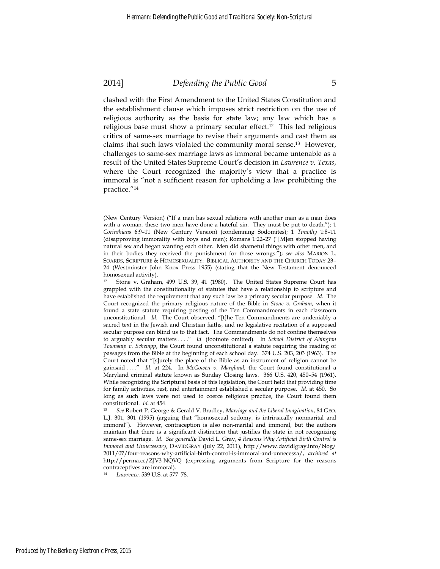1

#### 2014] *Defending the Public Good* 5

clashed with the First Amendment to the United States Constitution and the establishment clause which imposes strict restriction on the use of religious authority as the basis for state law; any law which has a religious base must show a primary secular effect.12 This led religious critics of same-sex marriage to revise their arguments and cast them as claims that such laws violated the community moral sense.13 However, challenges to same-sex marriage laws as immoral became untenable as a result of the United States Supreme Court's decision in *Lawrence v. Texas*, where the Court recognized the majority's view that a practice is immoral is "not a sufficient reason for upholding a law prohibiting the practice."14

<sup>(</sup>New Century Version) ("If a man has sexual relations with another man as a man does with a woman, these two men have done a hateful sin. They must be put to death."); 1 *Corinthians* 6:9–11 (New Century Version) (condemning Sodomites); 1 *Timothy* 1:8–11 (disapproving immorality with boys and men); Romans 1:22–27 ("[M]en stopped having natural sex and began wanting each other. Men did shameful things with other men, and in their bodies they received the punishment for those wrongs."); *see also* MARION L. SOARDS, SCRIPTURE & HOMOSEXUALITY: BIBLICAL AUTHORITY AND THE CHURCH TODAY 23– 24 (Westminster John Knox Press 1955) (stating that the New Testament denounced homosexual activity).

<sup>&</sup>lt;sup>12</sup> Stone v. Graham, 499 U.S. 39, 41 (1980). The United States Supreme Court has grappled with the constitutionality of statutes that have a relationship to scripture and have established the requirement that any such law be a primary secular purpose. *Id*. The Court recognized the primary religious nature of the Bible in *Stone v. Graham*, when it found a state statute requiring posting of the Ten Commandments in each classroom unconstitutional. *Id*. The Court observed, "[t]he Ten Commandments are undeniably a sacred text in the Jewish and Christian faiths, and no legislative recitation of a supposed secular purpose can blind us to that fact. The Commandments do not confine themselves to arguably secular matters . . . ." *Id.* (footnote omitted). In *School District of Abington Township v. Schempp*, the Court found unconstitutional a statute requiring the reading of passages from the Bible at the beginning of each school day. 374 U.S. 203, 203 (1963). The Court noted that "[s]urely the place of the Bible as an instrument of religion cannot be gainsaid . . . ." *Id.* at 224. In *McGowen v. Maryland*, the Court found constitutional a Maryland criminal statute known as Sunday Closing laws. 366 U.S. 420, 450–54 (1961). While recognizing the Scriptural basis of this legislation, the Court held that providing time for family activities, rest, and entertainment established a secular purpose. *Id*. at 450. So long as such laws were not used to coerce religious practice, the Court found them constitutional. *Id*. at 454. 13 *See* Robert P. George & Gerald V. Bradley, *Marriage and the Liberal Imagination*, 84 GEO.

L.J. 301, 301 (1995) (arguing that "homosexual sodomy, is intrinsically nonmarital and immoral"). However, contraception is also non-marital and immoral, but the authors maintain that there is a significant distinction that justifies the state in not recognizing same-sex marriage. *Id*. *See generally* David L. Gray, *4 Reasons Why Artificial Birth Control is Immoral and Unnecessary*, DAVIDGRAY (July 22, 2011), http://www.davidlgray.info/blog/ 2011/07/four-reasons-why-artificial-birth-control-is-immoral-and-unnecessa/, *archived at* http://perma.cc/ZJV3-NQVQ (expressing arguments from Scripture for the reasons contraceptives are immoral).

<sup>14</sup> *Lawrence*, 539 U.S. at 577–78.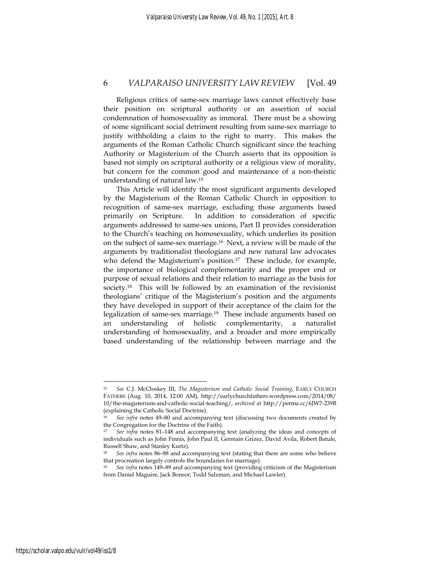Religious critics of same-sex marriage laws cannot effectively base their position on scriptural authority or an assertion of social condemnation of homosexuality as immoral. There must be a showing of some significant social detriment resulting from same-sex marriage to justify withholding a claim to the right to marry. This makes the arguments of the Roman Catholic Church significant since the teaching Authority or Magisterium of the Church asserts that its opposition is based not simply on scriptural authority or a religious view of morality, but concern for the common good and maintenance of a non-theistic understanding of natural law.15

This Article will identify the most significant arguments developed by the Magisterium of the Roman Catholic Church in opposition to recognition of same-sex marriage, excluding those arguments based primarily on Scripture. In addition to consideration of specific arguments addressed to same-sex unions, Part II provides consideration to the Church's teaching on homosexuality, which underlies its position on the subject of same-sex marriage.16 Next, a review will be made of the arguments by traditionalist theologians and new natural law advocates who defend the Magisterium's position.<sup>17</sup> These include, for example, the importance of biological complementarity and the proper end or purpose of sexual relations and their relation to marriage as the basis for society.<sup>18</sup> This will be followed by an examination of the revisionist theologians' critique of the Magisterium's position and the arguments they have developed in support of their acceptance of the claim for the legalization of same-sex marriage.19 These include arguments based on an understanding of holistic complementarity, a naturalist understanding of homosexuality, and a broader and more empirically based understanding of the relationship between marriage and the

<sup>15</sup> *See* C.J. McCloskey III, *The Magisterium and Catholic Social Training*, EARLY CHURCH FATHERS (Aug. 10, 2014, 12:00 AM), http://earlychurchfathers.wordpress.com/2014/08/ 10/the-magisterium-and-catholic-social-teaching/, *archived at* http://perma.cc/6JW7-239B (explaining the Catholic Social Doctrine).

<sup>16</sup> *See infra* notes 49–80 and accompanying text (discussing two documents created by the Congregation for the Doctrine of the Faith).

<sup>17</sup> *See infra* notes 81–148 and accompanying text (analyzing the ideas and concepts of individuals such as John Finnis, John Paul II, Germain Grizez, David Avila, Robert Batule, Russell Shaw, and Stanley Kurtz).

<sup>18</sup> *See infra* notes 86–88 and accompanying text (stating that there are some who believe that procreation largely controls the boundaries for marriage).

<sup>19</sup> *See infra* notes 149–89 and accompanying text (providing criticism of the Magisterium from Daniel Maguire, Jack Bonsor, Todd Salzman, and Michael Lawler).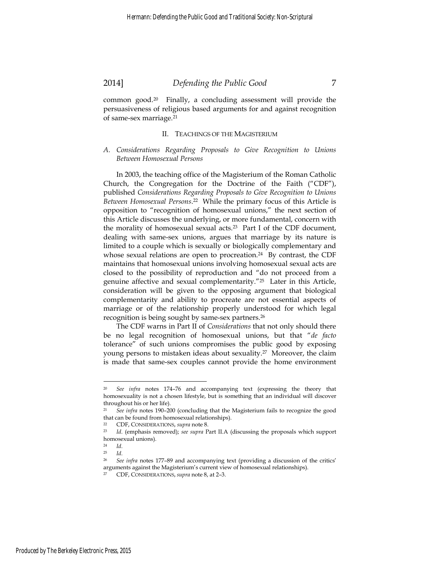common good.20 Finally, a concluding assessment will provide the persuasiveness of religious based arguments for and against recognition of same-sex marriage.21

#### II. TEACHINGS OF THE MAGISTERIUM

*A. Considerations Regarding Proposals to Give Recognition to Unions Between Homosexual Persons* 

In 2003, the teaching office of the Magisterium of the Roman Catholic Church, the Congregation for the Doctrine of the Faith ("CDF"), published *Considerations Regarding Proposals to Give Recognition to Unions Between Homosexual Persons*. 22 While the primary focus of this Article is opposition to "recognition of homosexual unions," the next section of this Article discusses the underlying, or more fundamental, concern with the morality of homosexual sexual acts.23 Part I of the CDF document, dealing with same-sex unions, argues that marriage by its nature is limited to a couple which is sexually or biologically complementary and whose sexual relations are open to procreation.<sup>24</sup> By contrast, the CDF maintains that homosexual unions involving homosexual sexual acts are closed to the possibility of reproduction and "do not proceed from a genuine affective and sexual complementarity."25 Later in this Article, consideration will be given to the opposing argument that biological complementarity and ability to procreate are not essential aspects of marriage or of the relationship properly understood for which legal recognition is being sought by same-sex partners.26

The CDF warns in Part II of *Considerations* that not only should there be no legal recognition of homosexual unions, but that "*de facto* tolerance" of such unions compromises the public good by exposing young persons to mistaken ideas about sexuality.27 Moreover, the claim is made that same-sex couples cannot provide the home environment

<sup>20</sup> *See infra* notes 174–76 and accompanying text (expressing the theory that homosexuality is not a chosen lifestyle, but is something that an individual will discover throughout his or her life).

<sup>&</sup>lt;sup>21</sup> *See infra* notes 190-200 (concluding that the Magisterium fails to recognize the good that can be found from homosexual relationships).

<sup>22</sup> CDF, CONSIDERATIONS, *supra* note 8. 23 *Id*. (emphasis removed); *see supra* Part II.A (discussing the proposals which support homosexual unions).<br> $^{24}$   $^{14}$ 

<sup>24</sup> *Id*. 25 *Id*. 26 *See infra* notes 177–89 and accompanying text (providing a discussion of the critics' arguments against the Magisterium's current view of homosexual relationships).

<sup>27</sup> CDF, CONSIDERATIONS, *supra* note 8, at 2–3.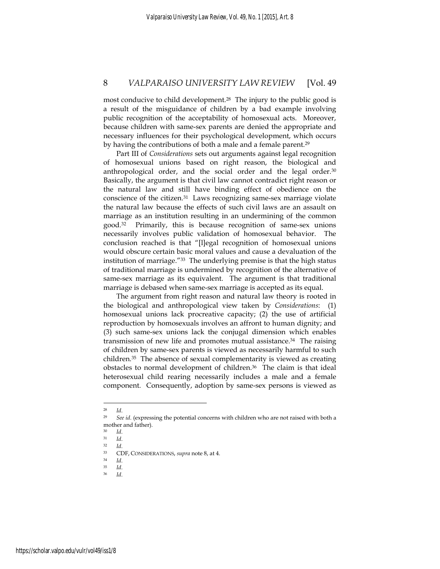most conducive to child development.28 The injury to the public good is a result of the misguidance of children by a bad example involving public recognition of the acceptability of homosexual acts. Moreover, because children with same-sex parents are denied the appropriate and necessary influences for their psychological development, which occurs by having the contributions of both a male and a female parent.<sup>29</sup>

Part III of *Considerations* sets out arguments against legal recognition of homosexual unions based on right reason, the biological and anthropological order, and the social order and the legal order.<sup>30</sup> Basically, the argument is that civil law cannot contradict right reason or the natural law and still have binding effect of obedience on the conscience of the citizen.31 Laws recognizing same-sex marriage violate the natural law because the effects of such civil laws are an assault on marriage as an institution resulting in an undermining of the common good.32 Primarily, this is because recognition of same-sex unions necessarily involves public validation of homosexual behavior. The conclusion reached is that "[l]egal recognition of homosexual unions would obscure certain basic moral values and cause a devaluation of the institution of marriage."33 The underlying premise is that the high status of traditional marriage is undermined by recognition of the alternative of same-sex marriage as its equivalent. The argument is that traditional marriage is debased when same-sex marriage is accepted as its equal.

The argument from right reason and natural law theory is rooted in the biological and anthropological view taken by *Considerations*: (1) homosexual unions lack procreative capacity; (2) the use of artificial reproduction by homosexuals involves an affront to human dignity; and (3) such same-sex unions lack the conjugal dimension which enables transmission of new life and promotes mutual assistance.34 The raising of children by same-sex parents is viewed as necessarily harmful to such children.35 The absence of sexual complementarity is viewed as creating obstacles to normal development of children.36 The claim is that ideal heterosexual child rearing necessarily includes a male and a female component. Consequently, adoption by same-sex persons is viewed as

<sup>28</sup> *Id*. 29 *See id*. (expressing the potential concerns with children who are not raised with both a mother and father).

<sup>30</sup> *Id*. 31 *Id*. 32 *Id*. 33 CDF, CONSIDERATIONS, *supra* note 8, at 4. 34 *Id*. 35 *Id*. 36 *Id*.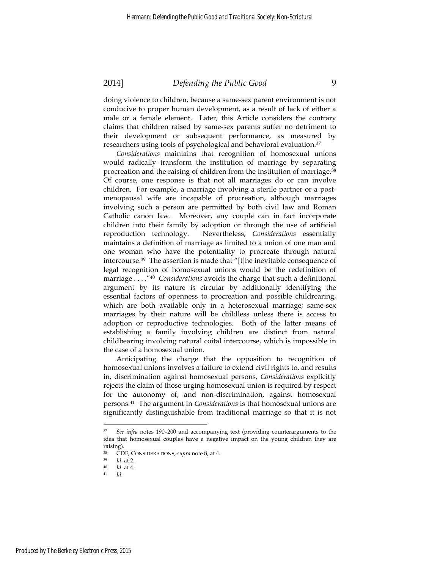doing violence to children, because a same-sex parent environment is not conducive to proper human development, as a result of lack of either a male or a female element. Later, this Article considers the contrary claims that children raised by same-sex parents suffer no detriment to their development or subsequent performance, as measured by researchers using tools of psychological and behavioral evaluation.37

*Considerations* maintains that recognition of homosexual unions would radically transform the institution of marriage by separating procreation and the raising of children from the institution of marriage.38 Of course, one response is that not all marriages do or can involve children. For example, a marriage involving a sterile partner or a postmenopausal wife are incapable of procreation, although marriages involving such a person are permitted by both civil law and Roman Catholic canon law. Moreover, any couple can in fact incorporate children into their family by adoption or through the use of artificial reproduction technology. Nevertheless, *Considerations* essentially maintains a definition of marriage as limited to a union of one man and one woman who have the potentiality to procreate through natural intercourse.39 The assertion is made that "[t]he inevitable consequence of legal recognition of homosexual unions would be the redefinition of marriage . . . ."40 *Considerations* avoids the charge that such a definitional argument by its nature is circular by additionally identifying the essential factors of openness to procreation and possible childrearing, which are both available only in a heterosexual marriage; same-sex marriages by their nature will be childless unless there is access to adoption or reproductive technologies. Both of the latter means of establishing a family involving children are distinct from natural childbearing involving natural coital intercourse, which is impossible in the case of a homosexual union.

Anticipating the charge that the opposition to recognition of homosexual unions involves a failure to extend civil rights to, and results in, discrimination against homosexual persons, *Considerations* explicitly rejects the claim of those urging homosexual union is required by respect for the autonomy of, and non-discrimination, against homosexual persons.41 The argument in *Considerations* is that homosexual unions are significantly distinguishable from traditional marriage so that it is not

<sup>37</sup> *See infra* notes 190–200 and accompanying text (providing counterarguments to the idea that homosexual couples have a negative impact on the young children they are raising).

<sup>38</sup> CDF, CONSIDERATIONS, *supra* note 8, at 4. 39 *Id*. at 2. 40 *Id*. at 4. 41 *Id*.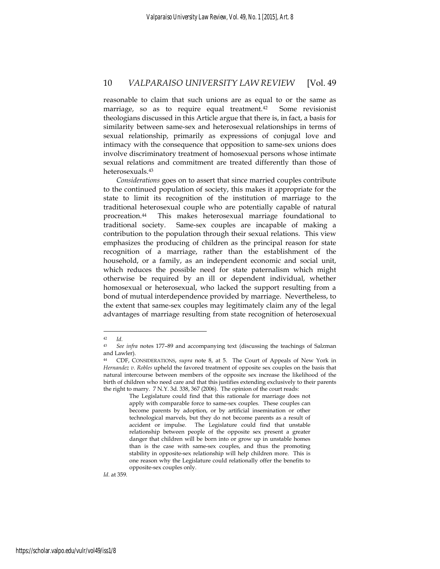reasonable to claim that such unions are as equal to or the same as marriage, so as to require equal treatment.<sup>42</sup> Some revisionist theologians discussed in this Article argue that there is, in fact, a basis for similarity between same-sex and heterosexual relationships in terms of sexual relationship, primarily as expressions of conjugal love and intimacy with the consequence that opposition to same-sex unions does involve discriminatory treatment of homosexual persons whose intimate sexual relations and commitment are treated differently than those of heterosexuals.43

*Considerations* goes on to assert that since married couples contribute to the continued population of society, this makes it appropriate for the state to limit its recognition of the institution of marriage to the traditional heterosexual couple who are potentially capable of natural procreation.44 This makes heterosexual marriage foundational to traditional society. Same-sex couples are incapable of making a contribution to the population through their sexual relations. This view emphasizes the producing of children as the principal reason for state recognition of a marriage, rather than the establishment of the household, or a family, as an independent economic and social unit, which reduces the possible need for state paternalism which might otherwise be required by an ill or dependent individual, whether homosexual or heterosexual, who lacked the support resulting from a bond of mutual interdependence provided by marriage. Nevertheless, to the extent that same-sex couples may legitimately claim any of the legal advantages of marriage resulting from state recognition of heterosexual

<u>.</u>

*Id*. at 359.

<sup>42</sup> *Id*. 43 *See infra* notes 177–89 and accompanying text (discussing the teachings of Salzman and Lawler).

<sup>44</sup> CDF, CONSIDERATIONS, *supra* note 8, at 5. The Court of Appeals of New York in *Hernandez v. Robles* upheld the favored treatment of opposite sex couples on the basis that natural intercourse between members of the opposite sex increase the likelihood of the birth of children who need care and that this justifies extending exclusively to their parents the right to marry. 7 N.Y. 3d. 338, 367 (2006). The opinion of the court reads:

The Legislature could find that this rationale for marriage does not apply with comparable force to same-sex couples. These couples can become parents by adoption, or by artificial insemination or other technological marvels, but they do not become parents as a result of accident or impulse. The Legislature could find that unstable relationship between people of the opposite sex present a greater danger that children will be born into or grow up in unstable homes than is the case with same-sex couples, and thus the promoting stability in opposite-sex relationship will help children more. This is one reason why the Legislature could relationally offer the benefits to opposite-sex couples only.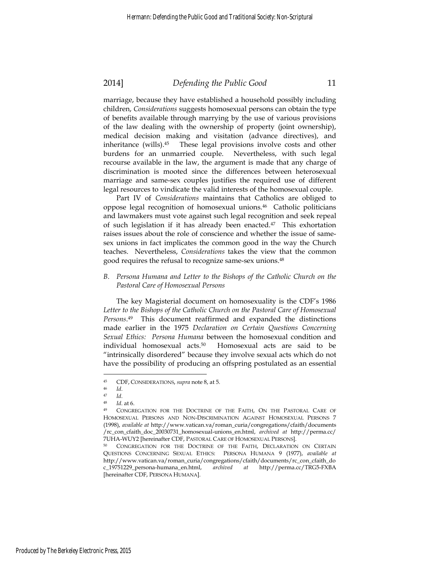marriage, because they have established a household possibly including children, *Considerations* suggests homosexual persons can obtain the type of benefits available through marrying by the use of various provisions of the law dealing with the ownership of property (joint ownership), medical decision making and visitation (advance directives), and inheritance (wills).45 These legal provisions involve costs and other burdens for an unmarried couple. Nevertheless, with such legal recourse available in the law, the argument is made that any charge of discrimination is mooted since the differences between heterosexual marriage and same-sex couples justifies the required use of different legal resources to vindicate the valid interests of the homosexual couple.

Part IV of *Considerations* maintains that Catholics are obliged to oppose legal recognition of homosexual unions.46 Catholic politicians and lawmakers must vote against such legal recognition and seek repeal of such legislation if it has already been enacted.<sup>47</sup> This exhortation raises issues about the role of conscience and whether the issue of samesex unions in fact implicates the common good in the way the Church teaches. Nevertheless, *Considerations* takes the view that the common good requires the refusal to recognize same-sex unions.48

*B. Persona Humana and Letter to the Bishops of the Catholic Church on the Pastoral Care of Homosexual Persons* 

The key Magisterial document on homosexuality is the CDF's 1986 Letter to the Bishops of the Catholic Church on the Pastoral Care of Homosexual *Persons*.49 This document reaffirmed and expanded the distinctions made earlier in the 1975 *Declaration on Certain Questions Concerning Sexual Ethics: Persona Humana* between the homosexual condition and individual homosexual acts.50 Homosexual acts are said to be "intrinsically disordered" because they involve sexual acts which do not have the possibility of producing an offspring postulated as an essential

<sup>45</sup> CDF, CONSIDERATIONS, *supra* note 8, at 5.<br>
46 *Id*.<br>
47 *Id*.<br>
48 *Id*. at 6.<br>
49 CONGREGATION FOR THE DOCTRINE OF THE FAITH, ON THE PASTORAL CARE OF HOMOSEXUAL PERSONS AND NON-DISCRIMINATION AGAINST HOMOSEXUAL PERSONS 7 (1998), *available at* http://www.vatican.va/roman\_curia/congregations/cfaith/documents /rc\_con\_cfaith\_doc\_20030731\_homosexual-unions\_en.html, *archived at* http://perma.cc/ 7UHA-WUY2 [hereinafter CDF, PASTORAL CARE OF HOMOSEXUAL PERSONS]. 50 CONGREGATION FOR THE DOCTRINE OF THE FAITH, DECLARATION ON CERTAIN

QUESTIONS CONCERNING SEXUAL ETHICS: PERSONA HUMANA 9 (1977), *available at*  http://www.vatican.va/roman\_curia/congregations/cfaith/documents/rc\_con\_cfaith\_do c\_19751229\_persona-humana\_en.html, *archived at* http://perma.cc/TRG5-FXBA [hereinafter CDF, PERSONA HUMANA].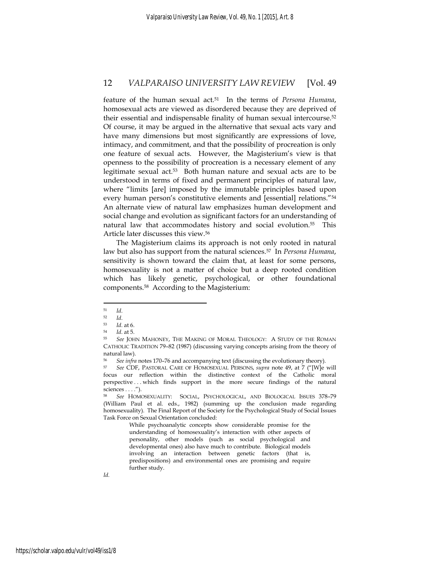feature of the human sexual act.51 In the terms of *Persona Humana*, homosexual acts are viewed as disordered because they are deprived of their essential and indispensable finality of human sexual intercourse.52 Of course, it may be argued in the alternative that sexual acts vary and have many dimensions but most significantly are expressions of love, intimacy, and commitment, and that the possibility of procreation is only one feature of sexual acts. However, the Magisterium's view is that openness to the possibility of procreation is a necessary element of any legitimate sexual act.53 Both human nature and sexual acts are to be understood in terms of fixed and permanent principles of natural law, where "limits [are] imposed by the immutable principles based upon every human person's constitutive elements and [essential] relations."54 An alternate view of natural law emphasizes human development and social change and evolution as significant factors for an understanding of natural law that accommodates history and social evolution.55 This Article later discusses this view.56

The Magisterium claims its approach is not only rooted in natural law but also has support from the natural sciences.57 In *Persona Humana*, sensitivity is shown toward the claim that, at least for some persons, homosexuality is not a matter of choice but a deep rooted condition which has likely genetic, psychological, or other foundational components.58 According to the Magisterium:

1

While psychoanalytic concepts show considerable promise for the understanding of homosexuality's interaction with other aspects of personality, other models (such as social psychological and developmental ones) also have much to contribute. Biological models involving an interaction between genetic factors (that is, predispositions) and environmental ones are promising and require further study.

<sup>51</sup> *Id*. 52 *Id*. 53 *Id*. at 6. 54 *Id*. at 5. 55 *See* JOHN MAHONEY, THE MAKING OF MORAL THEOLOGY: A STUDY OF THE ROMAN CATHOLIC TRADITION 79–82 (1987) (discussing varying concepts arising from the theory of natural law).

<sup>56</sup> *See infra* notes 170–76 and accompanying text (discussing the evolutionary theory). 57 *See* CDF, PASTORAL CARE OF HOMOSEXUAL PERSONS, *supra* note 49, at 7 ("[W]e will

focus our reflection within the distinctive context of the Catholic moral perspective . . . which finds support in the more secure findings of the natural sciences . . . .").

<sup>58</sup> *See* HOMOSEXUALITY: SOCIAL, PSYCHOLOGICAL, AND BIOLOGICAL ISSUES 378–79 (William Paul et al. eds., 1982) (summing up the conclusion made regarding homosexuality). The Final Report of the Society for the Psychological Study of Social Issues Task Force on Sexual Orientation concluded: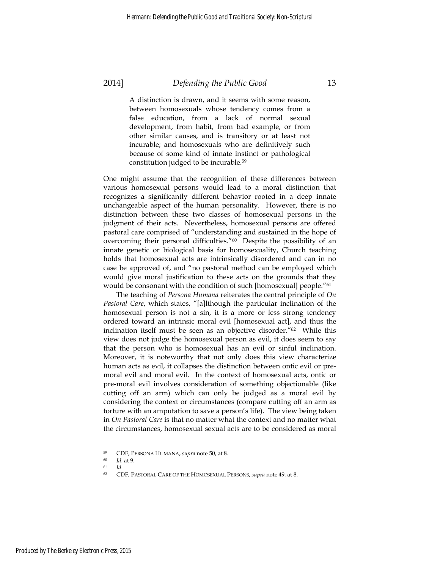A distinction is drawn, and it seems with some reason, between homosexuals whose tendency comes from a false education, from a lack of normal sexual development, from habit, from bad example, or from other similar causes, and is transitory or at least not incurable; and homosexuals who are definitively such because of some kind of innate instinct or pathological constitution judged to be incurable.59

One might assume that the recognition of these differences between various homosexual persons would lead to a moral distinction that recognizes a significantly different behavior rooted in a deep innate unchangeable aspect of the human personality. However, there is no distinction between these two classes of homosexual persons in the judgment of their acts. Nevertheless, homosexual persons are offered pastoral care comprised of "understanding and sustained in the hope of overcoming their personal difficulties."60 Despite the possibility of an innate genetic or biological basis for homosexuality, Church teaching holds that homosexual acts are intrinsically disordered and can in no case be approved of, and "no pastoral method can be employed which would give moral justification to these acts on the grounds that they would be consonant with the condition of such [homosexual] people."61

The teaching of *Persona Humana* reiterates the central principle of *On Pastoral Care*, which states, "[a]lthough the particular inclination of the homosexual person is not a sin, it is a more or less strong tendency ordered toward an intrinsic moral evil [homosexual act], and thus the inclination itself must be seen as an objective disorder."62 While this view does not judge the homosexual person as evil, it does seem to say that the person who is homosexual has an evil or sinful inclination. Moreover, it is noteworthy that not only does this view characterize human acts as evil, it collapses the distinction between ontic evil or premoral evil and moral evil. In the context of homosexual acts, ontic or pre-moral evil involves consideration of something objectionable (like cutting off an arm) which can only be judged as a moral evil by considering the context or circumstances (compare cutting off an arm as torture with an amputation to save a person's life). The view being taken in *On Pastoral Care* is that no matter what the context and no matter what the circumstances, homosexual sexual acts are to be considered as moral

<sup>59</sup> CDF, PERSONA HUMANA, *supra* note 50, at 8. 60 *Id*. at 9. 61 *Id*. 62 CDF, PASTORAL CARE OF THE HOMOSEXUAL PERSONS, *supra* note 49, at 8.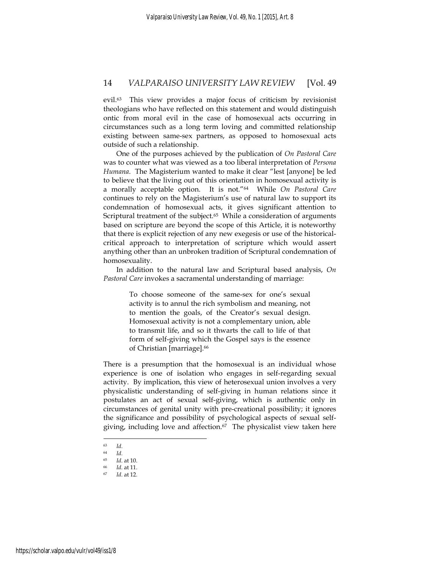evil.63 This view provides a major focus of criticism by revisionist theologians who have reflected on this statement and would distinguish ontic from moral evil in the case of homosexual acts occurring in circumstances such as a long term loving and committed relationship existing between same-sex partners, as opposed to homosexual acts outside of such a relationship.

One of the purposes achieved by the publication of *On Pastoral Care* was to counter what was viewed as a too liberal interpretation of *Persona Humana*. The Magisterium wanted to make it clear "lest [anyone] be led to believe that the living out of this orientation in homosexual activity is a morally acceptable option. It is not."64 While *On Pastoral Care* continues to rely on the Magisterium's use of natural law to support its condemnation of homosexual acts, it gives significant attention to Scriptural treatment of the subject.<sup>65</sup> While a consideration of arguments based on scripture are beyond the scope of this Article, it is noteworthy that there is explicit rejection of any new exegesis or use of the historicalcritical approach to interpretation of scripture which would assert anything other than an unbroken tradition of Scriptural condemnation of homosexuality.

In addition to the natural law and Scriptural based analysis, *On Pastoral Care* invokes a sacramental understanding of marriage:

> To choose someone of the same-sex for one's sexual activity is to annul the rich symbolism and meaning, not to mention the goals, of the Creator's sexual design. Homosexual activity is not a complementary union, able to transmit life, and so it thwarts the call to life of that form of self-giving which the Gospel says is the essence of Christian [marriage].66

There is a presumption that the homosexual is an individual whose experience is one of isolation who engages in self-regarding sexual activity. By implication, this view of heterosexual union involves a very physicalistic understanding of self-giving in human relations since it postulates an act of sexual self-giving, which is authentic only in circumstances of genital unity with pre-creational possibility; it ignores the significance and possibility of psychological aspects of sexual selfgiving, including love and affection.<sup>67</sup> The physicalist view taken here

<sup>63</sup> *Id*. 64 *Id*. 65 *Id*. at 10. 66 *Id.* at 11. 67 *Id*. at 12.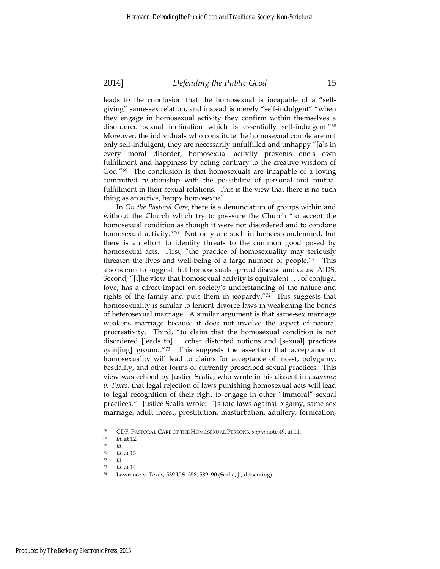leads to the conclusion that the homosexual is incapable of a "selfgiving" same-sex relation, and instead is merely "self-indulgent" "when they engage in homosexual activity they confirm within themselves a disordered sexual inclination which is essentially self-indulgent."68 Moreover, the individuals who constitute the homosexual couple are not only self-indulgent, they are necessarily unfulfilled and unhappy "[a]s in every moral disorder, homosexual activity prevents one's own fulfillment and happiness by acting contrary to the creative wisdom of God."69 The conclusion is that homosexuals are incapable of a loving committed relationship with the possibility of personal and mutual fulfillment in their sexual relations. This is the view that there is no such thing as an active, happy homosexual.

In *On the Pastoral Care*, there is a denunciation of groups within and without the Church which try to pressure the Church "to accept the homosexual condition as though it were not disordered and to condone homosexual activity."70 Not only are such influences condemned, but there is an effort to identify threats to the common good posed by homosexual acts. First, "the practice of homosexuality may seriously threaten the lives and well-being of a large number of people."71 This also seems to suggest that homosexuals spread disease and cause AIDS. Second, "[t]he view that homosexual activity is equivalent . . . of conjugal love, has a direct impact on society's understanding of the nature and rights of the family and puts them in jeopardy."72 This suggests that homosexuality is similar to lenient divorce laws in weakening the bonds of heterosexual marriage. A similar argument is that same-sex marriage weakens marriage because it does not involve the aspect of natural procreativity. Third, "to claim that the homosexual condition is not disordered [leads to] . . . other distorted notions and [sexual] practices gain[ing] ground."73 This suggests the assertion that acceptance of homosexuality will lead to claims for acceptance of incest, polygamy, bestiality, and other forms of currently proscribed sexual practices. This view was echoed by Justice Scalia, who wrote in his dissent in *Lawrence v. Texas*, that legal rejection of laws punishing homosexual acts will lead to legal recognition of their right to engage in other "immoral" sexual practices.74 Justice Scalia wrote: "[s]tate laws against bigamy, same sex marriage, adult incest, prostitution, masturbation, adultery, fornication,

<sup>68</sup> CDF, PASTORAL CARE OF THE HOMOSEXUAL PERSONS*, supra* note 49, at 11. 69 *Id*. at 12. 70 *Id.*

<sup>71</sup> *Id.* at 13. 72 *Id.*

<sup>73</sup> *Id.* at 14. 74 Lawrence v. Texas, 539 U.S. 558, 589–90 (Scalia, J., dissenting)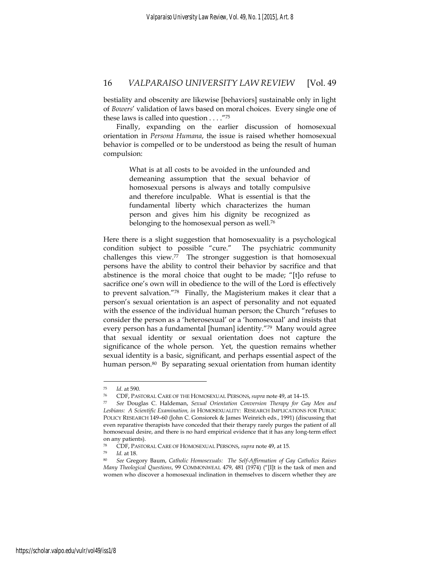bestiality and obscenity are likewise [behaviors] sustainable only in light of *Bowers*' validation of laws based on moral choices. Every single one of these laws is called into question . . . ."75

Finally, expanding on the earlier discussion of homosexual orientation in *Persona Humana*, the issue is raised whether homosexual behavior is compelled or to be understood as being the result of human compulsion:

> What is at all costs to be avoided in the unfounded and demeaning assumption that the sexual behavior of homosexual persons is always and totally compulsive and therefore inculpable. What is essential is that the fundamental liberty which characterizes the human person and gives him his dignity be recognized as belonging to the homosexual person as well.76

Here there is a slight suggestion that homosexuality is a psychological condition subject to possible "cure." The psychiatric community challenges this view.77 The stronger suggestion is that homosexual persons have the ability to control their behavior by sacrifice and that abstinence is the moral choice that ought to be made; "[t]o refuse to sacrifice one's own will in obedience to the will of the Lord is effectively to prevent salvation."78 Finally, the Magisterium makes it clear that a person's sexual orientation is an aspect of personality and not equated with the essence of the individual human person; the Church "refuses to consider the person as a 'heterosexual' or a 'homosexual' and insists that every person has a fundamental [human] identity."79 Many would agree that sexual identity or sexual orientation does not capture the significance of the whole person. Yet, the question remains whether sexual identity is a basic, significant, and perhaps essential aspect of the human person.<sup>80</sup> By separating sexual orientation from human identity

<sup>75</sup> *Id*. at 590. 76 CDF, PASTORAL CARE OF THE HOMOSEXUAL PERSONS, *supra* note 49, at 14–15. 77 *See* Douglas C. Haldeman, *Sexual Orientation Conversion Therapy for Gay Men and Lesbians: A Scientific Examination, in* HOMOSEXUALITY: RESEARCH IMPLICATIONS FOR PUBLIC POLICY RESEARCH 149–60 (John C. Gonsiorek & James Weinrich eds., 1991) (discussing that even reparative therapists have conceded that their therapy rarely purges the patient of all homosexual desire, and there is no hard empirical evidence that it has any long-term effect on any patients).

<sup>78</sup> CDF, PASTORAL CARE OF HOMOSEXUAL PERSONS, *supra* note 49, at 15. 79 *Id.* at 18. 80 *See* Gregory Baum, *Catholic Homosexuals: The Self-Affirmation of Gay Catholics Raises Many Theological Questions*, 99 COMMONWEAL 479, 481 (1974) ("[I]t is the task of men and women who discover a homosexual inclination in themselves to discern whether they are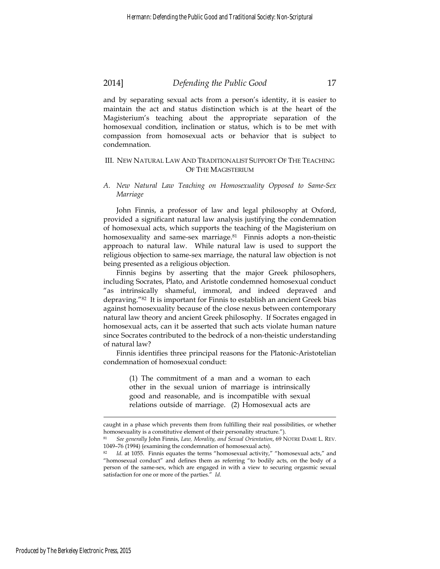and by separating sexual acts from a person's identity, it is easier to maintain the act and status distinction which is at the heart of the Magisterium's teaching about the appropriate separation of the homosexual condition, inclination or status, which is to be met with compassion from homosexual acts or behavior that is subject to condemnation.

#### III. NEW NATURAL LAW AND TRADITIONALIST SUPPORT OF THE TEACHING OF THE MAGISTERIUM

#### *A. New Natural Law Teaching on Homosexuality Opposed to Same-Sex Marriage*

John Finnis, a professor of law and legal philosophy at Oxford, provided a significant natural law analysis justifying the condemnation of homosexual acts, which supports the teaching of the Magisterium on homosexuality and same-sex marriage.<sup>81</sup> Finnis adopts a non-theistic approach to natural law. While natural law is used to support the religious objection to same-sex marriage, the natural law objection is not being presented as a religious objection.

Finnis begins by asserting that the major Greek philosophers, including Socrates, Plato, and Aristotle condemned homosexual conduct "as intrinsically shameful, immoral, and indeed depraved and depraving."82 It is important for Finnis to establish an ancient Greek bias against homosexuality because of the close nexus between contemporary natural law theory and ancient Greek philosophy. If Socrates engaged in homosexual acts, can it be asserted that such acts violate human nature since Socrates contributed to the bedrock of a non-theistic understanding of natural law?

Finnis identifies three principal reasons for the Platonic-Aristotelian condemnation of homosexual conduct:

> (1) The commitment of a man and a woman to each other in the sexual union of marriage is intrinsically good and reasonable, and is incompatible with sexual relations outside of marriage. (2) Homosexual acts are

caught in a phase which prevents them from fulfilling their real possibilities, or whether homosexuality is a constitutive element of their personality structure.").

<sup>81</sup> *See generally* John Finnis, *Law, Morality, and Sexual Orientation*, 69 NOTRE DAME L. REV. 1049–76 (1994) (examining the condemnation of homosexual acts).

<sup>82</sup> *Id.* at 1055. Finnis equates the terms "homosexual activity," "homosexual acts," and "homosexual conduct" and defines them as referring "to bodily acts, on the body of a person of the same-sex, which are engaged in with a view to securing orgasmic sexual satisfaction for one or more of the parties." *Id*.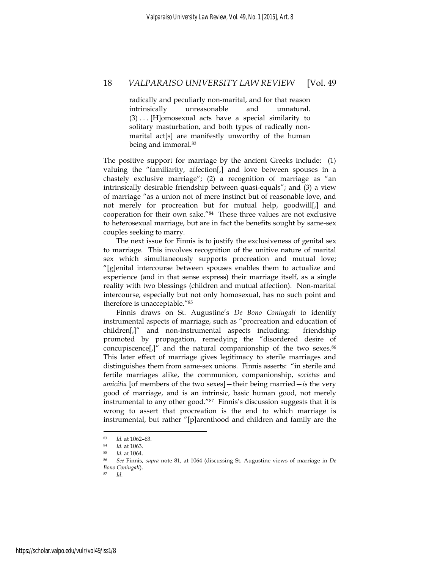radically and peculiarly non-marital, and for that reason intrinsically unreasonable and unnatural.  $(3)$ ... [H]omosexual acts have a special similarity to solitary masturbation, and both types of radically nonmarital act[s] are manifestly unworthy of the human being and immoral.<sup>83</sup>

The positive support for marriage by the ancient Greeks include: (1) valuing the "familiarity, affection[,] and love between spouses in a chastely exclusive marriage"; (2) a recognition of marriage as "an intrinsically desirable friendship between quasi-equals"; and (3) a view of marriage "as a union not of mere instinct but of reasonable love, and not merely for procreation but for mutual help, goodwill[,] and cooperation for their own sake."84 These three values are not exclusive to heterosexual marriage, but are in fact the benefits sought by same-sex couples seeking to marry.

The next issue for Finnis is to justify the exclusiveness of genital sex to marriage. This involves recognition of the unitive nature of marital sex which simultaneously supports procreation and mutual love; "[g]enital intercourse between spouses enables them to actualize and experience (and in that sense express) their marriage itself, as a single reality with two blessings (children and mutual affection). Non-marital intercourse, especially but not only homosexual, has no such point and therefore is unacceptable."85

Finnis draws on St. Augustine's *De Bono Coniugali* to identify instrumental aspects of marriage, such as "procreation and education of children[,]" and non-instrumental aspects including: friendship promoted by propagation, remedying the "disordered desire of concupiscence[,]" and the natural companionship of the two sexes.86 This later effect of marriage gives legitimacy to sterile marriages and distinguishes them from same-sex unions. Finnis asserts: "in sterile and fertile marriages alike, the communion, companionship, *societas* and *amicitia* [of members of the two sexes]—their being married—*is* the very good of marriage, and is an intrinsic, basic human good, not merely instrumental to any other good."87 Finnis's discussion suggests that it is wrong to assert that procreation is the end to which marriage is instrumental, but rather "[p]arenthood and children and family are the

<sup>83</sup> *Id.* at 1062–63. 84 *Id.* at 1063. 85 *Id.* at 1064. 86 *See* Finnis, *supra* note 81, at 1064 (discussing St. Augustine views of marriage in *De Bono Coniugali*). 87 *Id*.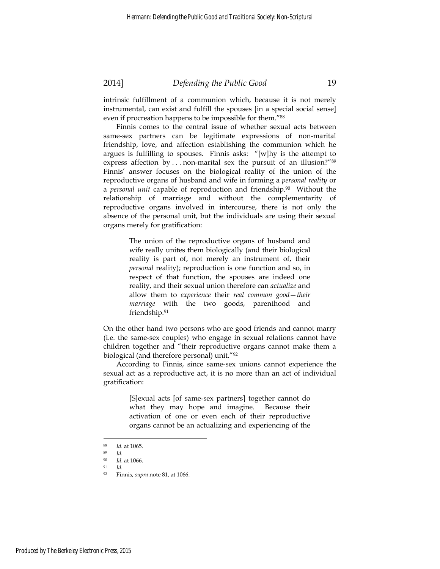intrinsic fulfillment of a communion which, because it is not merely instrumental, can exist and fulfill the spouses [in a special social sense] even if procreation happens to be impossible for them."88

Finnis comes to the central issue of whether sexual acts between same-sex partners can be legitimate expressions of non-marital friendship, love, and affection establishing the communion which he argues is fulfilling to spouses. Finnis asks: "[w]hy is the attempt to express affection by . . . non-marital sex the pursuit of an illusion?"<sup>89</sup> Finnis' answer focuses on the biological reality of the union of the reproductive organs of husband and wife in forming a *personal reality* or a *personal unit* capable of reproduction and friendship.90 Without the relationship of marriage and without the complementarity of reproductive organs involved in intercourse, there is not only the absence of the personal unit, but the individuals are using their sexual organs merely for gratification:

> The union of the reproductive organs of husband and wife really unites them biologically (and their biological reality is part of, not merely an instrument of, their *personal* reality); reproduction is one function and so, in respect of that function, the spouses are indeed one reality, and their sexual union therefore can *actualize* and allow them to *experience* their *real common good*—*their marriage* with the two goods, parenthood and friendship.91

On the other hand two persons who are good friends and cannot marry (i.e. the same-sex couples) who engage in sexual relations cannot have children together and "their reproductive organs cannot make them a biological (and therefore personal) unit."92

According to Finnis, since same-sex unions cannot experience the sexual act as a reproductive act, it is no more than an act of individual gratification:

> [S]exual acts [of same-sex partners] together cannot do what they may hope and imagine. Because their activation of one or even each of their reproductive organs cannot be an actualizing and experiencing of the

<sup>88</sup> *Id.* at 1065. 89 *Id.*

<sup>90</sup> *Id*. at 1066. 91 *Id.*

<sup>92</sup> Finnis, *supra* note 81, at 1066.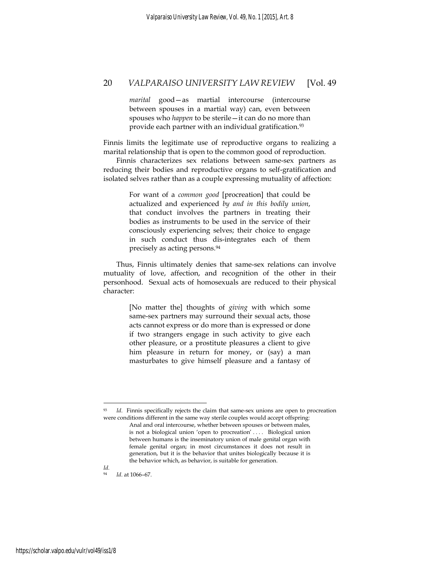*marital* good—as martial intercourse (intercourse between spouses in a martial way) can, even between spouses who *happen* to be sterile—it can do no more than provide each partner with an individual gratification.<sup>93</sup>

Finnis limits the legitimate use of reproductive organs to realizing a marital relationship that is open to the common good of reproduction.

Finnis characterizes sex relations between same-sex partners as reducing their bodies and reproductive organs to self-gratification and isolated selves rather than as a couple expressing mutuality of affection:

> For want of a *common good* [procreation] that could be actualized and experienced *by and in this bodily union*, that conduct involves the partners in treating their bodies as instruments to be used in the service of their consciously experiencing selves; their choice to engage in such conduct thus dis-integrates each of them precisely as acting persons.94

Thus, Finnis ultimately denies that same-sex relations can involve mutuality of love, affection, and recognition of the other in their personhood. Sexual acts of homosexuals are reduced to their physical character:

> [No matter the] thoughts of *giving* with which some same-sex partners may surround their sexual acts, those acts cannot express or do more than is expressed or done if two strangers engage in such activity to give each other pleasure, or a prostitute pleasures a client to give him pleasure in return for money, or (say) a man masturbates to give himself pleasure and a fantasy of

*Id.* Finnis specifically rejects the claim that same-sex unions are open to procreation were conditions different in the same way sterile couples would accept offspring:

*Id.*

Anal and oral intercourse, whether between spouses or between males, is not a biological union 'open to procreation' . . . . Biological union between humans is the inseminatory union of male genital organ with female genital organ; in most circumstances it does not result in generation, but it is the behavior that unites biologically because it is the behavior which, as behavior, is suitable for generation.

<sup>94</sup> *Id*. at 1066–67.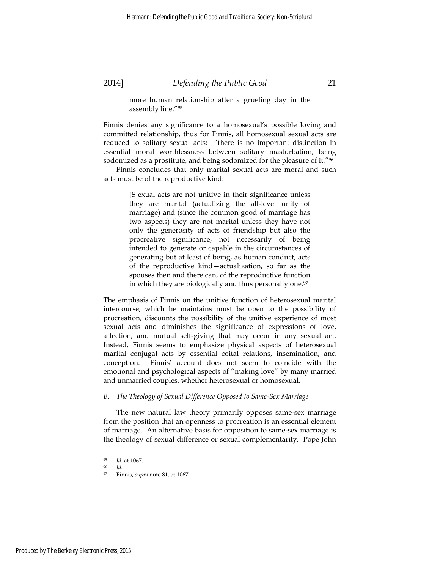more human relationship after a grueling day in the assembly line."95

Finnis denies any significance to a homosexual's possible loving and committed relationship, thus for Finnis, all homosexual sexual acts are reduced to solitary sexual acts: "there is no important distinction in essential moral worthlessness between solitary masturbation, being sodomized as a prostitute, and being sodomized for the pleasure of it."<sup>96</sup>

Finnis concludes that only marital sexual acts are moral and such acts must be of the reproductive kind:

> [S]exual acts are not unitive in their significance unless they are marital (actualizing the all-level unity of marriage) and (since the common good of marriage has two aspects) they are not marital unless they have not only the generosity of acts of friendship but also the procreative significance, not necessarily of being intended to generate or capable in the circumstances of generating but at least of being, as human conduct, acts of the reproductive kind—actualization, so far as the spouses then and there can, of the reproductive function in which they are biologically and thus personally one.<sup>97</sup>

The emphasis of Finnis on the unitive function of heterosexual marital intercourse, which he maintains must be open to the possibility of procreation, discounts the possibility of the unitive experience of most sexual acts and diminishes the significance of expressions of love, affection, and mutual self-giving that may occur in any sexual act. Instead, Finnis seems to emphasize physical aspects of heterosexual marital conjugal acts by essential coital relations, insemination, and conception. Finnis' account does not seem to coincide with the emotional and psychological aspects of "making love" by many married and unmarried couples, whether heterosexual or homosexual.

#### *B. The Theology of Sexual Difference Opposed to Same-Sex Marriage*

The new natural law theory primarily opposes same-sex marriage from the position that an openness to procreation is an essential element of marriage. An alternative basis for opposition to same-sex marriage is the theology of sexual difference or sexual complementarity. Pope John

<sup>95</sup> *Id.* at 1067. 96 *Id.*

<sup>97</sup> Finnis, *supra* note 81, at 1067.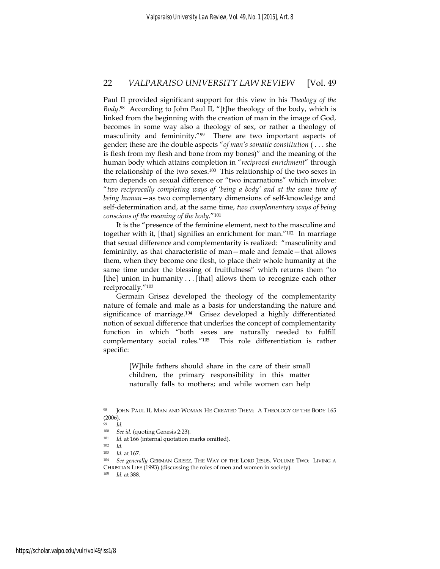Paul II provided significant support for this view in his *Theology of the Body*. 98 According to John Paul II, "[t]he theology of the body, which is linked from the beginning with the creation of man in the image of God, becomes in some way also a theology of sex, or rather a theology of masculinity and femininity."99 There are two important aspects of gender; these are the double aspects "*of man's somatic constitution* ( . . . she is flesh from my flesh and bone from my bones)" and the meaning of the human body which attains completion in "*reciprocal enrichment*" through the relationship of the two sexes.100 This relationship of the two sexes in turn depends on sexual difference or "two incarnations" which involve: "*two reciprocally completing ways of 'being a body' and at the same time of being human*—as two complementary dimensions of self-knowledge and self-determination and, at the same time, *two complementary ways of being conscious of the meaning of the body*."101

It is the "presence of the feminine element, next to the masculine and together with it, [that] signifies an enrichment for man."102 In marriage that sexual difference and complementarity is realized: "masculinity and femininity, as that characteristic of man—male and female—that allows them, when they become one flesh, to place their whole humanity at the same time under the blessing of fruitfulness" which returns them "to [the] union in humanity . . . [that] allows them to recognize each other reciprocally."103

Germain Grisez developed the theology of the complementarity nature of female and male as a basis for understanding the nature and significance of marriage.104 Grisez developed a highly differentiated notion of sexual difference that underlies the concept of complementarity function in which "both sexes are naturally needed to fulfill complementary social roles."105 This role differentiation is rather specific:

> [W]hile fathers should share in the care of their small children, the primary responsibility in this matter naturally falls to mothers; and while women can help

<sup>98</sup> JOHN PAUL II, MAN AND WOMAN HE CREATED THEM: A THEOLOGY OF THE BODY 165 (2006).

*Id.* 

<sup>100</sup> *See id.* (quoting Genesis 2:23).<br>
101 *Id.* at 166 (internal quotation marks omitted).<br>
102 *Id.* at 167.

<sup>&</sup>lt;sup>104</sup> See generally GERMAN GRISEZ, THE WAY OF THE LORD JESUS, VOLUME TWO: LIVING A CHRISTIAN LIFE (1993) (discussing the roles of men and women in society). 105 *Id.* at 388.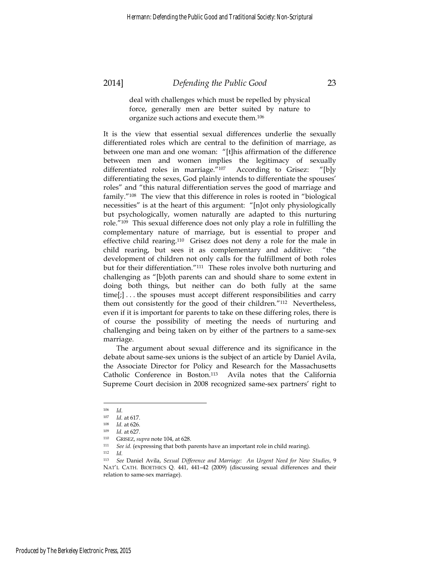deal with challenges which must be repelled by physical force, generally men are better suited by nature to organize such actions and execute them.106

It is the view that essential sexual differences underlie the sexually differentiated roles which are central to the definition of marriage, as between one man and one woman: "[t]his affirmation of the difference between men and women implies the legitimacy of sexually differentiated roles in marriage."107 According to Grisez: "[b]y differentiating the sexes, God plainly intends to differentiate the spouses' roles" and "this natural differentiation serves the good of marriage and family."108 The view that this difference in roles is rooted in "biological necessities" is at the heart of this argument: "[n]ot only physiologically but psychologically, women naturally are adapted to this nurturing role."109 This sexual difference does not only play a role in fulfilling the complementary nature of marriage, but is essential to proper and effective child rearing.110 Grisez does not deny a role for the male in child rearing, but sees it as complementary and additive: "the development of children not only calls for the fulfillment of both roles but for their differentiation."111 These roles involve both nurturing and challenging as "[b]oth parents can and should share to some extent in doing both things, but neither can do both fully at the same time[;] . . . the spouses must accept different responsibilities and carry them out consistently for the good of their children."112 Nevertheless, even if it is important for parents to take on these differing roles, there is of course the possibility of meeting the needs of nurturing and challenging and being taken on by either of the partners to a same-sex marriage.

The argument about sexual difference and its significance in the debate about same-sex unions is the subject of an article by Daniel Avila, the Associate Director for Policy and Research for the Massachusetts Catholic Conference in Boston.113 Avila notes that the California Supreme Court decision in 2008 recognized same-sex partners' right to

 $106$  *Id.*<br> $107$  *Id* 

<sup>107</sup> *Id.* at 617.<br>
108 *Id.* at 626.<br>
109 *Id.* at 627.<br>
110 GRISEZ, *supra* note 104, at 628.<br>
111 *See id.* (expressing that both parents have an important role in child rearing).<br>
112 *Id.* 

<sup>113</sup> *See* Daniel Avila, *Sexual Difference and Marriage: An Urgent Need for New Studies*, 9 NAT'L CATH. BIOETHICS Q. 441, 441–42 (2009) (discussing sexual differences and their relation to same-sex marriage).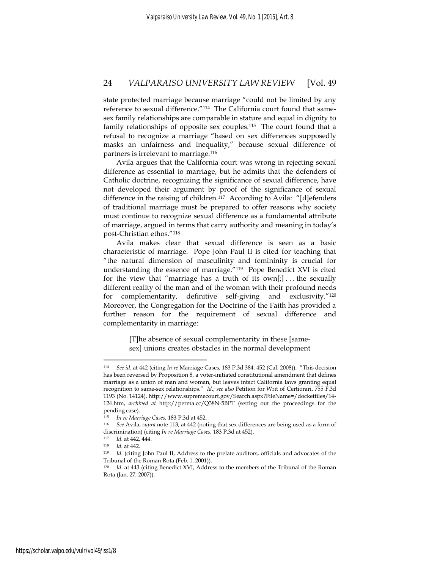state protected marriage because marriage "could not be limited by any reference to sexual difference."114 The California court found that samesex family relationships are comparable in stature and equal in dignity to family relationships of opposite sex couples.115 The court found that a refusal to recognize a marriage "based on sex differences supposedly masks an unfairness and inequality," because sexual difference of partners is irrelevant to marriage.116

Avila argues that the California court was wrong in rejecting sexual difference as essential to marriage, but he admits that the defenders of Catholic doctrine, recognizing the significance of sexual difference, have not developed their argument by proof of the significance of sexual difference in the raising of children.<sup>117</sup> According to Avila: "[d]efenders of traditional marriage must be prepared to offer reasons why society must continue to recognize sexual difference as a fundamental attribute of marriage, argued in terms that carry authority and meaning in today's post-Christian ethos."118

Avila makes clear that sexual difference is seen as a basic characteristic of marriage. Pope John Paul II is cited for teaching that "the natural dimension of masculinity and femininity is crucial for understanding the essence of marriage."119 Pope Benedict XVI is cited for the view that "marriage has a truth of its  $own[j] \dots$  the sexually different reality of the man and of the woman with their profound needs for complementarity, definitive self-giving and exclusivity."120 Moreover, the Congregation for the Doctrine of the Faith has provided a further reason for the requirement of sexual difference and complementarity in marriage:

> [T]he absence of sexual complementarity in these [samesex] unions creates obstacles in the normal development

<sup>114</sup> *See id.* at 442 (citing *In re* Marriage Cases, 183 P.3d 384, 452 (Cal. 2008)). "This decision has been reversed by Proposition 8, a voter-initiated constitutional amendment that defines marriage as a union of man and woman, but leaves intact California laws granting equal recognition to same-sex relationships." *Id*.; *see also* Petition for Writ of Certiorari, 755 F.3d 1193 (No. 14124), http://www.supremecourt.gov/Search.aspx?FileName=/docketfiles/14- 124.htm, *archived at* http://perma.cc/Q38N-5BPT (setting out the proceedings for the pending case).

<sup>115</sup> *In re Marriage Cases,* 183 P.3d at 452. 116 *See* Avila, *supra* note 113, at 442 (noting that sex differences are being used as a form of discrimination) (citing *In re Marriage Cases,* 183 P.3d at 452).<br>
117 *Id.* at 442, 444.<br>
118 *Id.* (citing John Paul II, Address to the prelate auditors, officials and advocates of the

Tribunal of the Roman Rota (Feb. 1, 2001)).

<sup>&</sup>lt;sup>120</sup> *Id.* at 443 (citing Benedict XVI, Address to the members of the Tribunal of the Roman Rota (Jan. 27, 2007)).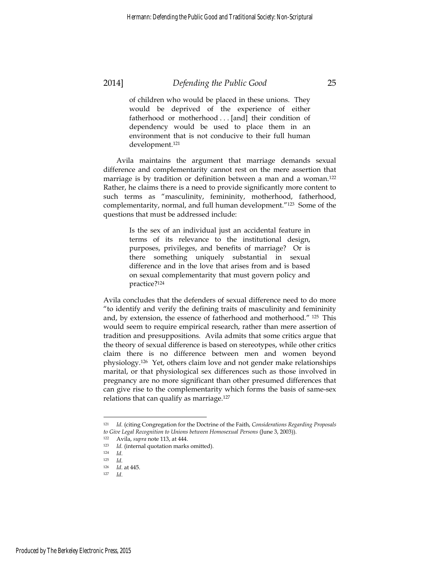of children who would be placed in these unions. They would be deprived of the experience of either fatherhood or motherhood . . . [and] their condition of dependency would be used to place them in an environment that is not conducive to their full human development.121

Avila maintains the argument that marriage demands sexual difference and complementarity cannot rest on the mere assertion that marriage is by tradition or definition between a man and a woman.<sup>122</sup> Rather, he claims there is a need to provide significantly more content to such terms as "masculinity, femininity, motherhood, fatherhood, complementarity, normal, and full human development."123 Some of the questions that must be addressed include:

> Is the sex of an individual just an accidental feature in terms of its relevance to the institutional design, purposes, privileges, and benefits of marriage? Or is there something uniquely substantial in sexual difference and in the love that arises from and is based on sexual complementarity that must govern policy and practice?124

Avila concludes that the defenders of sexual difference need to do more "to identify and verify the defining traits of masculinity and femininity and, by extension, the essence of fatherhood and motherhood." 125 This would seem to require empirical research, rather than mere assertion of tradition and presuppositions. Avila admits that some critics argue that the theory of sexual difference is based on stereotypes, while other critics claim there is no difference between men and women beyond physiology.126 Yet, others claim love and not gender make relationships marital, or that physiological sex differences such as those involved in pregnancy are no more significant than other presumed differences that can give rise to the complementarity which forms the basis of same-sex relations that can qualify as marriage.127

<sup>121</sup> *Id.* (citing Congregation for the Doctrine of the Faith, *Considerations Regarding Proposals to Give Legal Recognition to Unions between Homosexual Persons* (June 3, 2003)).<br>
<sup>122</sup> Avila, *supra* note 113, at 444.<br>
<sup>123</sup> *Id.* (internal quotation marks omitted).<br>
<sup>124</sup> *Id.*<br>
<sup>125</sup> *Id.* 126 *Id.* 14.415

<sup>126</sup> *Id*. at 445. 127 *Id*.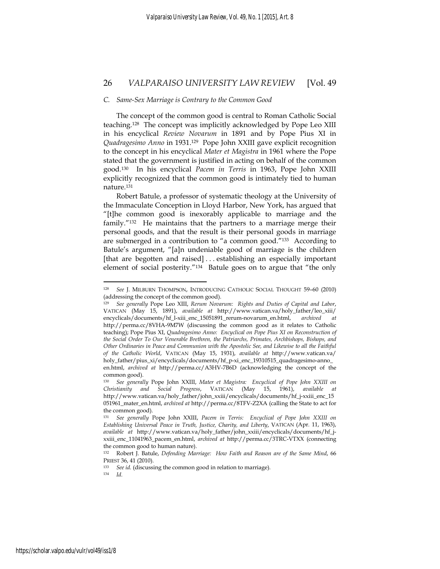#### *C. Same-Sex Marriage is Contrary to the Common Good*

The concept of the common good is central to Roman Catholic Social teaching.128 The concept was implicitly acknowledged by Pope Leo XIII in his encyclical *Review Novarum* in 1891 and by Pope Pius XI in *Quadragesimo Anno* in 1931.129 Pope John XXIII gave explicit recognition to the concept in his encyclical *Mater et Magistra* in 1961 where the Pope stated that the government is justified in acting on behalf of the common good.130 In his encyclical *Pacem in Terris* in 1963, Pope John XXIII explicitly recognized that the common good is intimately tied to human nature.131

Robert Batule, a professor of systematic theology at the University of the Immaculate Conception in Lloyd Harbor, New York, has argued that "[t]he common good is inexorably applicable to marriage and the family."132 He maintains that the partners to a marriage merge their personal goods, and that the result is their personal goods in marriage are submerged in a contribution to "a common good."133 According to Batule's argument, "[a]n undeniable good of marriage is the children [that are begotten and raised] . . . establishing an especially important element of social posterity."134 Batule goes on to argue that "the only

<sup>134</sup> *Id.*

<sup>128</sup> *See* J. MILBURN THOMPSON, INTRODUCING CATHOLIC SOCIAL THOUGHT 59–60 (2010) (addressing the concept of the common good).

<sup>129</sup> *See generally* Pope Leo XIII, *Rerum Novarum: Rights and Duties of Capital and Labor*, VATICAN (May 15, 1891), *available at* http://www.vatican.va/holy\_father/leo\_xiii/ encyclicals/documents/hf\_l-xiii\_enc\_15051891\_rerum-novarum\_en.html, *archived at* http://perma.cc/8VHA-9M7W (discussing the common good as it relates to Catholic teaching); Pope Pius XI, *Quadragesimo Anno: Encyclical on Pope Pius XI on Reconstruction of the Social Order To Our Venerable Brethren, the Patriarchs, Primates, Archbishops, Bishops, and Other Ordinaries in Peace and Communion with the Apostolic See, and Likewise to all the Faithful of the Catholic World*, VATICAN (May 15, 1931), *available at* http://www.vatican.va/ holy\_father/pius\_xi/encyclicals/documents/hf\_p-xi\_enc\_19310515\_quadragesimo-anno\_ en.html, *archived at* http://perma.cc/A3HV-7B6D (acknowledging the concept of the

common good).

<sup>130</sup> *See generally* Pope John XXIII, *Mater et Magistra: Encyclical of Pope John XXIII on Christianity and Social Progress*, VATICAN (May 15, 1961), *available at*  http://www.vatican.va/holy\_father/john\_xxiii/encyclicals/documents/hf\_j-xxiii\_enc\_15 051961\_mater\_en.html, *archived at* http://perma.cc/8TFV-Z2XA (calling the State to act for the common good).

<sup>131</sup> *See generally* Pope John XXIII, *Pacem in Terris: Encyclical of Pope John XXIII on Establishing Universal Peace in Truth, Justice, Charity, and Liberty*, VATICAN (Apr. 11, 1963), *available at* http://www.vatican.va/holy\_father/john\_xxiii/encyclicals/documents/hf\_jxxiii\_enc\_11041963\_pacem\_en.html, *archived at* http://perma.cc/3TRC-VTXX (connecting the common good to human nature).

<sup>132</sup> Robert J. Batule, *Defending Marriage: How Faith and Reason are of the Same Mind*, 66 PRIEST 36, 41 (2010).<br><sup>133</sup> *See id.* (discussing the common good in relation to marriage).<br><sup>134</sup> *Id*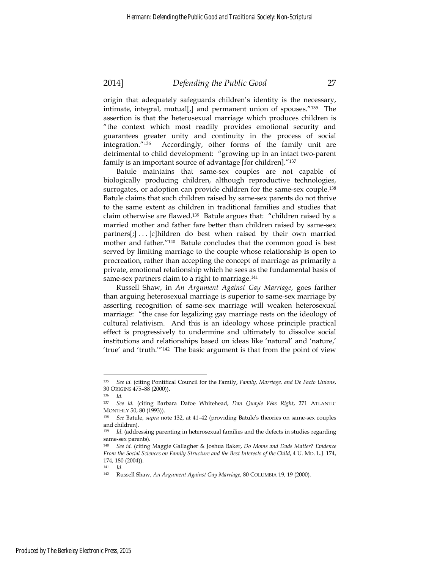origin that adequately safeguards children's identity is the necessary, intimate, integral, mutual[ $_1$ ] and permanent union of spouses.<sup>"135</sup> The assertion is that the heterosexual marriage which produces children is "the context which most readily provides emotional security and guarantees greater unity and continuity in the process of social integration."136 Accordingly, other forms of the family unit are detrimental to child development: "growing up in an intact two-parent family is an important source of advantage [for children]."137

Batule maintains that same-sex couples are not capable of biologically producing children, although reproductive technologies, surrogates, or adoption can provide children for the same-sex couple.<sup>138</sup> Batule claims that such children raised by same-sex parents do not thrive to the same extent as children in traditional families and studies that claim otherwise are flawed.139 Batule argues that: "children raised by a married mother and father fare better than children raised by same-sex partners[;] . . . [c]hildren do best when raised by their own married mother and father."140 Batule concludes that the common good is best served by limiting marriage to the couple whose relationship is open to procreation, rather than accepting the concept of marriage as primarily a private, emotional relationship which he sees as the fundamental basis of same-sex partners claim to a right to marriage.<sup>141</sup>

Russell Shaw, in *An Argument Against Gay Marriage*, goes farther than arguing heterosexual marriage is superior to same-sex marriage by asserting recognition of same-sex marriage will weaken heterosexual marriage: "the case for legalizing gay marriage rests on the ideology of cultural relativism. And this is an ideology whose principle practical effect is progressively to undermine and ultimately to dissolve social institutions and relationships based on ideas like 'natural' and 'nature,' 'true' and 'truth.'"142 The basic argument is that from the point of view

<sup>135</sup> *See id.* (citing Pontifical Council for the Family, *Family, Marriage, and De Facto Unions*, 30 ORIGINS 475–88 (2000)). 136 *Id.*

<sup>137</sup> *See id.* (citing Barbara Dafoe Whitehead, *Dan Quayle Was Right*, 271 ATLANTIC MONTHLY 50, 80 (1993)). 138 *See* Batule, *supra* note 132, at 41–42 (providing Batule's theories on same-sex couples

and children).

<sup>139</sup> *Id*. (addressing parenting in heterosexual families and the defects in studies regarding same-sex parents).

<sup>140</sup> *See id.* (citing Maggie Gallagher & Joshua Baker, *Do Moms and Dads Matter? Evidence From the Social Sciences on Family Structure and the Best Interests of the Child*, 4 U. MD. L.J. 174, 174, 180 (2004)).<br> $141$  *Id.* 

<sup>141</sup> *Id*. 142 Russell Shaw, *An Argument Against Gay Marriage*, 80 COLUMBIA 19, 19 (2000).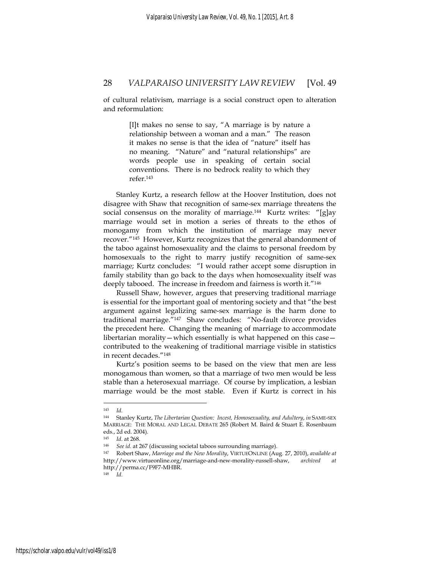of cultural relativism, marriage is a social construct open to alteration and reformulation:

> [I]t makes no sense to say, "A marriage is by nature a relationship between a woman and a man." The reason it makes no sense is that the idea of "nature" itself has no meaning. "Nature" and "natural relationships" are words people use in speaking of certain social conventions. There is no bedrock reality to which they refer.143

Stanley Kurtz, a research fellow at the Hoover Institution, does not disagree with Shaw that recognition of same-sex marriage threatens the social consensus on the morality of marriage.<sup>144</sup> Kurtz writes: "[g]ay marriage would set in motion a series of threats to the ethos of monogamy from which the institution of marriage may never recover."145 However, Kurtz recognizes that the general abandonment of the taboo against homosexuality and the claims to personal freedom by homosexuals to the right to marry justify recognition of same-sex marriage; Kurtz concludes: "I would rather accept some disruption in family stability than go back to the days when homosexuality itself was deeply tabooed. The increase in freedom and fairness is worth it."146

Russell Shaw, however, argues that preserving traditional marriage is essential for the important goal of mentoring society and that "the best argument against legalizing same-sex marriage is the harm done to traditional marriage."147 Shaw concludes: "No-fault divorce provides the precedent here. Changing the meaning of marriage to accommodate libertarian morality—which essentially is what happened on this case contributed to the weakening of traditional marriage visible in statistics in recent decades."148

Kurtz's position seems to be based on the view that men are less monogamous than women, so that a marriage of two men would be less stable than a heterosexual marriage. Of course by implication, a lesbian marriage would be the most stable. Even if Kurtz is correct in his

<sup>143</sup> *Id.*

<sup>144</sup> Stanley Kurtz, *The Libertarian Question: Incest, Homosexuality, and Adultery*, *in* SAME-SEX MARRIAGE: THE MORAL AND LEGAL DEBATE 265 (Robert M. Baird & Stuart E. Rosenbaum eds., 2d ed. 2004).

<sup>145</sup> *Id*. at 268. 146 *See id.* at 267 (discussing societal taboos surrounding marriage). 147 Robert Shaw, *Marriage and the New Morality*, VIRTUEONLINE (Aug. 27, 2010), *available at* http://www.virtueonline.org/marriage-and-new-morality-russell-shaw, *archived at*  http://perma.cc/F9F7-MHBR.<br> $^{148}$  *Id* 

<sup>148</sup> *Id*.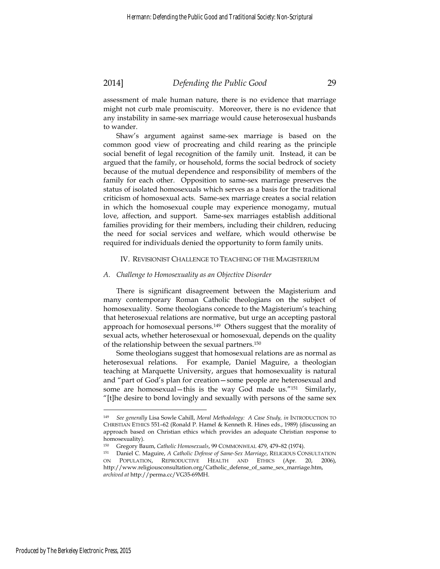assessment of male human nature, there is no evidence that marriage might not curb male promiscuity. Moreover, there is no evidence that any instability in same-sex marriage would cause heterosexual husbands to wander.

Shaw's argument against same-sex marriage is based on the common good view of procreating and child rearing as the principle social benefit of legal recognition of the family unit. Instead, it can be argued that the family, or household, forms the social bedrock of society because of the mutual dependence and responsibility of members of the family for each other. Opposition to same-sex marriage preserves the status of isolated homosexuals which serves as a basis for the traditional criticism of homosexual acts. Same-sex marriage creates a social relation in which the homosexual couple may experience monogamy, mutual love, affection, and support. Same-sex marriages establish additional families providing for their members, including their children, reducing the need for social services and welfare, which would otherwise be required for individuals denied the opportunity to form family units.

#### IV. REVISIONIST CHALLENGE TO TEACHING OF THE MAGISTERIUM

#### *A. Challenge to Homosexuality as an Objective Disorder*

There is significant disagreement between the Magisterium and many contemporary Roman Catholic theologians on the subject of homosexuality. Some theologians concede to the Magisterium's teaching that heterosexual relations are normative, but urge an accepting pastoral approach for homosexual persons.149 Others suggest that the morality of sexual acts, whether heterosexual or homosexual, depends on the quality of the relationship between the sexual partners.150

Some theologians suggest that homosexual relations are as normal as heterosexual relations. For example, Daniel Maguire, a theologian teaching at Marquette University, argues that homosexuality is natural and "part of God's plan for creation—some people are heterosexual and some are homosexual—this is the way God made us."151 Similarly, "[t]he desire to bond lovingly and sexually with persons of the same sex

<sup>149</sup> *See generally* Lisa Sowle Cahill, *Moral Methodology: A Case Study, in* INTRODUCTION TO CHRISTIAN ETHICS 551–62 (Ronald P. Hamel & Kenneth R. Hines eds., 1989) (discussing an approach based on Christian ethics which provides an adequate Christian response to homosexuality).<br><sup>150</sup> Gregory Baum, Catholic Homosexuals, 99 COMMONWEAL 479, 479-82 (1974).

<sup>151</sup> Daniel C. Maguire, *A Catholic Defense of Same-Sex Marriage*, RELIGIOUS CONSULTATION ON POPULATION, REPRODUCTIVE HEALTH AND ETHICS (Apr. 20, 2006), http://www.religiousconsultation.org/Catholic\_defense\_of\_same\_sex\_marriage.htm, *archived at* http://perma.cc/VG35-69MH.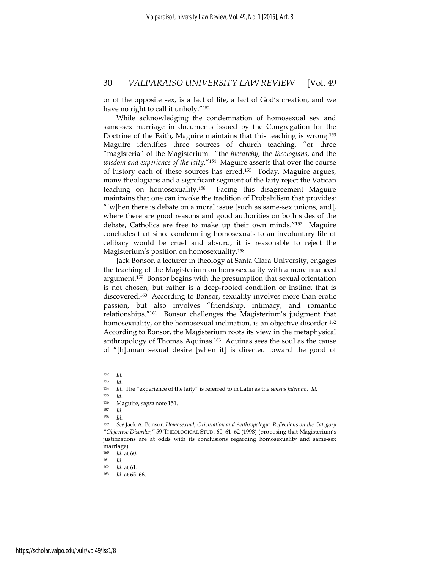or of the opposite sex, is a fact of life, a fact of God's creation, and we have no right to call it unholy."152

While acknowledging the condemnation of homosexual sex and same-sex marriage in documents issued by the Congregation for the Doctrine of the Faith, Maguire maintains that this teaching is wrong.153 Maguire identifies three sources of church teaching, "or three "magisteria" of the Magisterium: "the *hierarchy*, the *theologians*, and the *wisdom and experience of the laity*."154 Maguire asserts that over the course of history each of these sources has erred.155 Today, Maguire argues, many theologians and a significant segment of the laity reject the Vatican teaching on homosexuality.156 Facing this disagreement Maguire maintains that one can invoke the tradition of Probabilism that provides: "[w]hen there is debate on a moral issue [such as same-sex unions, and], where there are good reasons and good authorities on both sides of the debate, Catholics are free to make up their own minds."157 Maguire concludes that since condemning homosexuals to an involuntary life of celibacy would be cruel and absurd, it is reasonable to reject the Magisterium's position on homosexuality.158

Jack Bonsor, a lecturer in theology at Santa Clara University, engages the teaching of the Magisterium on homosexuality with a more nuanced argument.159 Bonsor begins with the presumption that sexual orientation is not chosen, but rather is a deep-rooted condition or instinct that is discovered.160 According to Bonsor, sexuality involves more than erotic passion, but also involves "friendship, intimacy, and romantic relationships."161 Bonsor challenges the Magisterium's judgment that homosexuality, or the homosexual inclination, is an objective disorder.<sup>162</sup> According to Bonsor, the Magisterium roots its view in the metaphysical anthropology of Thomas Aquinas.163 Aquinas sees the soul as the cause of "[h]uman sexual desire [when it] is directed toward the good of

<sup>152</sup> *Id.*

<sup>153</sup> *Id*. 154 *Id*. The "experience of the laity" is referred to in Latin as the *sensus fidelium*. *Id*. 155 *Id*. 156 Maguire, *supra* note 151. 157 *Id.*

<sup>158</sup> *Id*. 159 *See* Jack A. Bonsor, *Homosexual, Orientation and Anthropology: Reflections on the Category "Objective Disorder,"* 59 THEOLOGICAL STUD. 60, 61–62 (1998) (proposing that Magisterium's justifications are at odds with its conclusions regarding homosexuality and same-sex marriage).

<sup>160</sup> *Id.* at 60.<br>
161 *Id.*<br>
162 *Id* at 61

<sup>162</sup> *Id*. at 61. 163 *Id*. at 65–66.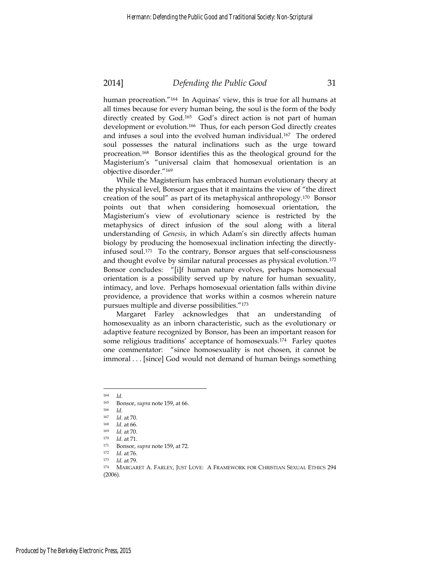human procreation."164 In Aquinas' view, this is true for all humans at all times because for every human being, the soul is the form of the body directly created by God.<sup>165</sup> God's direct action is not part of human development or evolution.166 Thus, for each person God directly creates and infuses a soul into the evolved human individual.<sup>167</sup> The ordered soul possesses the natural inclinations such as the urge toward procreation.168 Bonsor identifies this as the theological ground for the Magisterium's "universal claim that homosexual orientation is an objective disorder."169

While the Magisterium has embraced human evolutionary theory at the physical level, Bonsor argues that it maintains the view of "the direct creation of the soul" as part of its metaphysical anthropology.170 Bonsor points out that when considering homosexual orientation, the Magisterium's view of evolutionary science is restricted by the metaphysics of direct infusion of the soul along with a literal understanding of *Genesis*, in which Adam's sin directly affects human biology by producing the homosexual inclination infecting the directlyinfused soul.171 To the contrary, Bonsor argues that self-consciousness and thought evolve by similar natural processes as physical evolution.<sup>172</sup> Bonsor concludes: "[i]f human nature evolves, perhaps homosexual orientation is a possibility served up by nature for human sexuality, intimacy, and love. Perhaps homosexual orientation falls within divine providence, a providence that works within a cosmos wherein nature pursues multiple and diverse possibilities."173

Margaret Farley acknowledges that an understanding of homosexuality as an inborn characteristic, such as the evolutionary or adaptive feature recognized by Bonsor, has been an important reason for some religious traditions' acceptance of homosexuals.174 Farley quotes one commentator: "since homosexuality is not chosen, it cannot be immoral . . . [since] God would not demand of human beings something

<sup>&</sup>lt;sup>164</sup> *Id.*<br>
<sup>165</sup> Bonsor, *supra* note 159, at 66.<br>
<sup>166</sup> *Id.*<br>
<sup>167</sup> *Id.* at 70.<br>
<sup>168</sup> *Id.* at 70.<br>
<sup>169</sup> *Id.* at 70.<br>
<sup>170</sup> *Id.* at 71.<br>
Bonsor, *supra* note 159, at 72.<br>
<sup>171</sup> Bonsor, *supra* note 159, at 72.<br>
<sup>1</sup> (2006).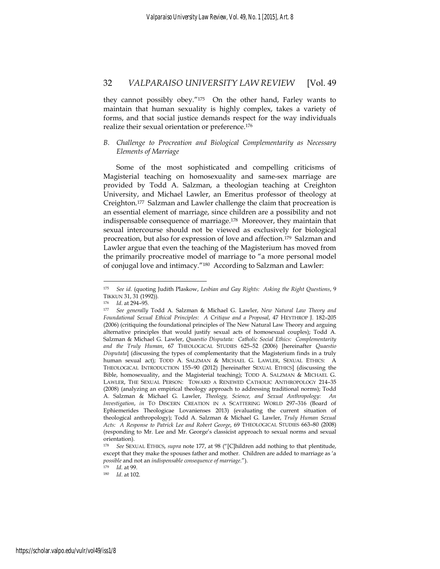they cannot possibly obey."175 On the other hand, Farley wants to maintain that human sexuality is highly complex, takes a variety of forms, and that social justice demands respect for the way individuals realize their sexual orientation or preference.176

#### *B. Challenge to Procreation and Biological Complementarity as Necessary Elements of Marriage*

Some of the most sophisticated and compelling criticisms of Magisterial teaching on homosexuality and same-sex marriage are provided by Todd A. Salzman, a theologian teaching at Creighton University, and Michael Lawler, an Emeritus professor of theology at Creighton.177 Salzman and Lawler challenge the claim that procreation is an essential element of marriage, since children are a possibility and not indispensable consequence of marriage.178 Moreover, they maintain that sexual intercourse should not be viewed as exclusively for biological procreation, but also for expression of love and affection.179 Salzman and Lawler argue that even the teaching of the Magisterium has moved from the primarily procreative model of marriage to "a more personal model of conjugal love and intimacy."180 According to Salzman and Lawler:

<sup>175</sup> *See id.* (quoting Judith Plaskow, *Lesbian and Gay Rights: Asking the Right Questions*, 9 TIKKUN 31, 31 (1992)). 176 *Id*. at 294–95. 177 *See generally* Todd A. Salzman & Michael G. Lawler, *New Natural Law Theory and* 

*Foundational Sexual Ethical Principles: A Critique and a Proposal*, 47 HEYTHROP J. 182–205 (2006) (critiquing the foundational principles of The New Natural Law Theory and arguing alternative principles that would justify sexual acts of homosexual couples); Todd A. Salzman & Michael G. Lawler, *Quaestio Disputata: Catholic Social Ethics: Complementarity and the Truly Human*, 67 THEOLOGICAL STUDIES 625–52 (2006) [hereinafter *Quaestio Disputata*] (discussing the types of complementarity that the Magisterium finds in a truly human sexual act); TODD A. SALZMAN & MICHAEL G. LAWLER, SEXUAL ETHICS: A THEOLOGICAL INTRODUCTION 155–90 (2012) [hereinafter SEXUAL ETHICS] (discussing the Bible, homosexuality, and the Magisterial teaching); TODD A. SALZMAN & MICHAEL G. LAWLER, THE SEXUAL PERSON: TOWARD A RENEWED CATHOLIC ANTHROPOLOGY 214–35 (2008) (analyzing an empirical theology approach to addressing traditional norms); Todd A. Salzman & Michael G. Lawler, *Theology, Science, and Sexual Anthropology: An Investigation*, *in* TO DISCERN CREATION IN A SCATTERING WORLD 297–316 (Board of Ephiemerides Theologicae Lovanienses 2013) (evaluating the current situation of theological anthropology); Todd A. Salzman & Michael G. Lawler, *Truly Human Sexual Acts: A Response to Patrick Lee and Robert George*, 69 THEOLOGICAL STUDIES 663–80 (2008) (responding to Mr. Lee and Mr. George's classicist approach to sexual norms and sexual orientation).

<sup>178</sup> *See* SEXUAL ETHICS, *supra* note 177, at 98 ("[C]hildren add nothing to that plentitude, except that they make the spouses father and mother. Children are added to marriage as 'a *possible* and not an *indispensable consequence of marriage."*).<br><sup>179</sup> *Id.* at 99.<br><sup>180</sup> *Id.* at 102.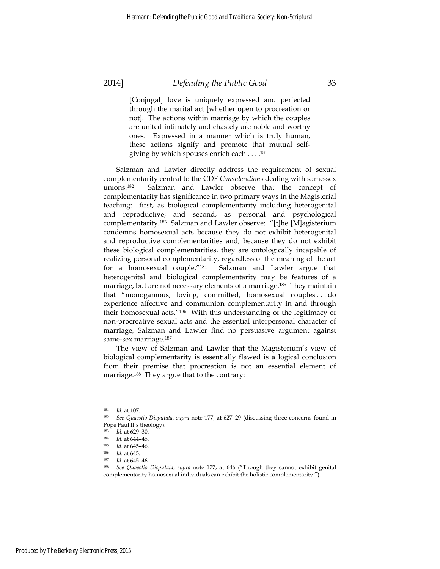[Conjugal] love is uniquely expressed and perfected through the marital act [whether open to procreation or not]. The actions within marriage by which the couples are united intimately and chastely are noble and worthy ones. Expressed in a manner which is truly human, these actions signify and promote that mutual selfgiving by which spouses enrich each . . . .181

Salzman and Lawler directly address the requirement of sexual complementarity central to the CDF *Considerations* dealing with same-sex unions.182 Salzman and Lawler observe that the concept of complementarity has significance in two primary ways in the Magisterial teaching: first, as biological complementarity including heterogenital and reproductive; and second, as personal and psychological complementarity.183 Salzman and Lawler observe: "[t]he [M]agisterium condemns homosexual acts because they do not exhibit heterogenital and reproductive complementarities and, because they do not exhibit these biological complementarities, they are ontologically incapable of realizing personal complementarity, regardless of the meaning of the act for a homosexual couple."184 Salzman and Lawler argue that heterogenital and biological complementarity may be features of a marriage, but are not necessary elements of a marriage.185 They maintain that "monogamous, loving, committed, homosexual couples . . . do experience affective and communion complementarity in and through their homosexual acts."186 With this understanding of the legitimacy of non-procreative sexual acts and the essential interpersonal character of marriage, Salzman and Lawler find no persuasive argument against same-sex marriage.<sup>187</sup>

The view of Salzman and Lawler that the Magisterium's view of biological complementarity is essentially flawed is a logical conclusion from their premise that procreation is not an essential element of marriage.<sup>188</sup> They argue that to the contrary:

<sup>181</sup> *Id.* at 107. 182 *See Quaestio Disputata*, *supra* note 177, at 627–29 (discussing three concerns found in Pope Paul II's theology).

<sup>&</sup>lt;sup>183</sup> *Id.* at 629–30.<br>
<sup>184</sup> *Id.* at 644–45.<br>
<sup>185</sup> *Id.* at 645–46.<br>
<sup>185</sup> *Id.* at 645–46.<br>
<sup>187</sup> *Id.* at 645–46.<br>
<sup>187</sup> *Id.* at 645–46.<br>
<sup>187</sup> *Id.* at 645–46. complementarity homosexual individuals can exhibit the holistic complementarity.").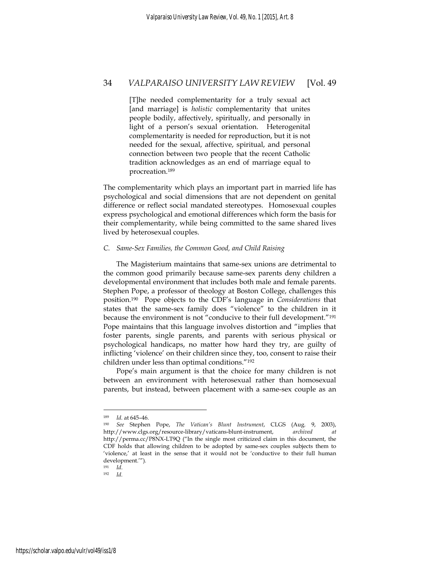[T]he needed complementarity for a truly sexual act [and marriage] is *holistic* complementarity that unites people bodily, affectively, spiritually, and personally in light of a person's sexual orientation. Heterogenital complementarity is needed for reproduction, but it is not needed for the sexual, affective, spiritual, and personal connection between two people that the recent Catholic tradition acknowledges as an end of marriage equal to procreation.189

The complementarity which plays an important part in married life has psychological and social dimensions that are not dependent on genital difference or reflect social mandated stereotypes. Homosexual couples express psychological and emotional differences which form the basis for their complementarity, while being committed to the same shared lives lived by heterosexual couples.

#### *C. Same-Sex Families, the Common Good, and Child Raising*

The Magisterium maintains that same-sex unions are detrimental to the common good primarily because same-sex parents deny children a developmental environment that includes both male and female parents. Stephen Pope, a professor of theology at Boston College, challenges this position.190 Pope objects to the CDF's language in *Considerations* that states that the same-sex family does "violence" to the children in it because the environment is not "conducive to their full development."191 Pope maintains that this language involves distortion and "implies that foster parents, single parents, and parents with serious physical or psychological handicaps, no matter how hard they try, are guilty of inflicting 'violence' on their children since they, too, consent to raise their children under less than optimal conditions."192

Pope's main argument is that the choice for many children is not between an environment with heterosexual rather than homosexual parents, but instead, between placement with a same-sex couple as an

<sup>189</sup> *Id.* at 645–46. 190 *See* Stephen Pope, *The Vatican's Blunt Instrument*, CLGS (Aug. 9, 2003), http://www.clgs.org/resource-library/vaticans-blunt-instrument, *archived* http://perma.cc/P8NX-LT9Q ("In the single most criticized claim in this document, the CDF holds that allowing children to be adopted by same-sex couples subjects them to 'violence,' at least in the sense that it would not be 'conductive to their full human development.'")*.*

<sup>191</sup> *Id*. 192 *Id.*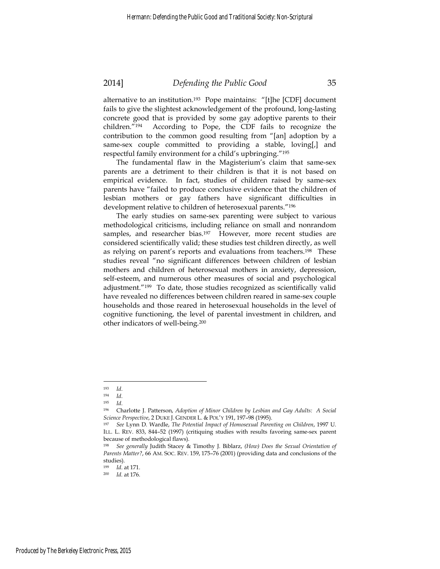alternative to an institution.<sup>193</sup> Pope maintains: "[t]he [CDF] document fails to give the slightest acknowledgement of the profound, long-lasting concrete good that is provided by some gay adoptive parents to their children."194 According to Pope, the CDF fails to recognize the contribution to the common good resulting from "[an] adoption by a same-sex couple committed to providing a stable, loving[,] and respectful family environment for a child's upbringing."195

The fundamental flaw in the Magisterium's claim that same-sex parents are a detriment to their children is that it is not based on empirical evidence. In fact, studies of children raised by same-sex parents have "failed to produce conclusive evidence that the children of lesbian mothers or gay fathers have significant difficulties in development relative to children of heterosexual parents."196

The early studies on same-sex parenting were subject to various methodological criticisms, including reliance on small and nonrandom samples, and researcher bias.<sup>197</sup> However, more recent studies are considered scientifically valid; these studies test children directly, as well as relying on parent's reports and evaluations from teachers.198 These studies reveal "no significant differences between children of lesbian mothers and children of heterosexual mothers in anxiety, depression, self-esteem, and numerous other measures of social and psychological adjustment."199 To date, those studies recognized as scientifically valid have revealed no differences between children reared in same-sex couple households and those reared in heterosexual households in the level of cognitive functioning, the level of parental investment in children, and other indicators of well-being.200

<sup>193</sup> *Id*. 194 *Id*. 195 *Id*. 196 Charlotte J. Patterson, *Adoption of Minor Children by Lesbian and Gay Adults: A Social Science Perspective*, 2 DUKE J. GENDER L. & POL'Y 191, 197–98 (1995). 197 *See* Lynn D. Wardle, *The Potential Impact of Homosexual Parenting on Children*, 1997 U.

ILL. L. REV. 833, 844–52 (1997) (critiquing studies with results favoring same-sex parent because of methodological flaws).

<sup>198</sup> *See generally* Judith Stacey & Timothy J. Biblarz, *(How) Does the Sexual Orientation of Parents Matter?*, 66 AM. SOC. REV. 159, 175–76 (2001) (providing data and conclusions of the studies).

<sup>199</sup> *Id*. at 171. 200 *Id.* at 176.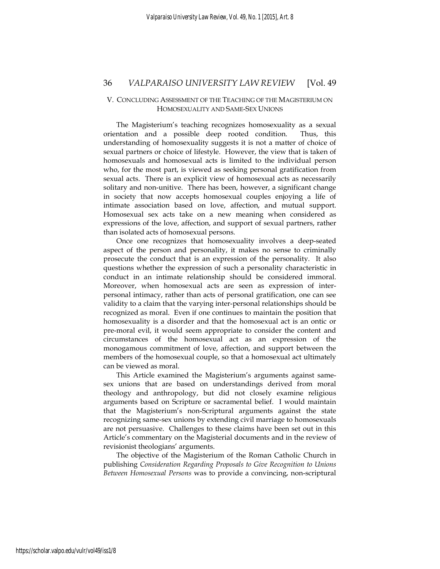#### V. CONCLUDING ASSESSMENT OF THE TEACHING OF THE MAGISTERIUM ON HOMOSEXUALITY AND SAME-SEX UNIONS

The Magisterium's teaching recognizes homosexuality as a sexual orientation and a possible deep rooted condition. Thus, this understanding of homosexuality suggests it is not a matter of choice of sexual partners or choice of lifestyle. However, the view that is taken of homosexuals and homosexual acts is limited to the individual person who, for the most part, is viewed as seeking personal gratification from sexual acts. There is an explicit view of homosexual acts as necessarily solitary and non-unitive. There has been, however, a significant change in society that now accepts homosexual couples enjoying a life of intimate association based on love, affection, and mutual support. Homosexual sex acts take on a new meaning when considered as expressions of the love, affection, and support of sexual partners, rather than isolated acts of homosexual persons.

Once one recognizes that homosexuality involves a deep-seated aspect of the person and personality, it makes no sense to criminally prosecute the conduct that is an expression of the personality. It also questions whether the expression of such a personality characteristic in conduct in an intimate relationship should be considered immoral. Moreover, when homosexual acts are seen as expression of interpersonal intimacy, rather than acts of personal gratification, one can see validity to a claim that the varying inter-personal relationships should be recognized as moral. Even if one continues to maintain the position that homosexuality is a disorder and that the homosexual act is an ontic or pre-moral evil, it would seem appropriate to consider the content and circumstances of the homosexual act as an expression of the monogamous commitment of love, affection, and support between the members of the homosexual couple, so that a homosexual act ultimately can be viewed as moral.

This Article examined the Magisterium's arguments against samesex unions that are based on understandings derived from moral theology and anthropology, but did not closely examine religious arguments based on Scripture or sacramental belief. I would maintain that the Magisterium's non-Scriptural arguments against the state recognizing same-sex unions by extending civil marriage to homosexuals are not persuasive. Challenges to these claims have been set out in this Article's commentary on the Magisterial documents and in the review of revisionist theologians' arguments.

The objective of the Magisterium of the Roman Catholic Church in publishing *Consideration Regarding Proposals to Give Recognition to Unions Between Homosexual Persons* was to provide a convincing, non-scriptural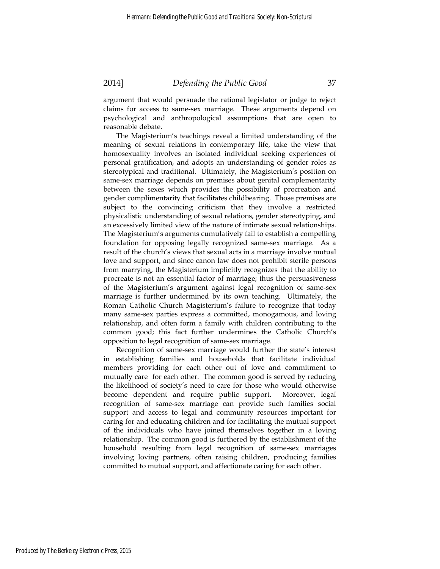argument that would persuade the rational legislator or judge to reject claims for access to same-sex marriage. These arguments depend on psychological and anthropological assumptions that are open to reasonable debate.

The Magisterium's teachings reveal a limited understanding of the meaning of sexual relations in contemporary life, take the view that homosexuality involves an isolated individual seeking experiences of personal gratification, and adopts an understanding of gender roles as stereotypical and traditional. Ultimately, the Magisterium's position on same-sex marriage depends on premises about genital complementarity between the sexes which provides the possibility of procreation and gender complimentarity that facilitates childbearing. Those premises are subject to the convincing criticism that they involve a restricted physicalistic understanding of sexual relations, gender stereotyping, and an excessively limited view of the nature of intimate sexual relationships. The Magisterium's arguments cumulatively fail to establish a compelling foundation for opposing legally recognized same-sex marriage. As a result of the church's views that sexual acts in a marriage involve mutual love and support, and since canon law does not prohibit sterile persons from marrying, the Magisterium implicitly recognizes that the ability to procreate is not an essential factor of marriage; thus the persuasiveness of the Magisterium's argument against legal recognition of same-sex marriage is further undermined by its own teaching. Ultimately, the Roman Catholic Church Magisterium's failure to recognize that today many same-sex parties express a committed, monogamous, and loving relationship, and often form a family with children contributing to the common good; this fact further undermines the Catholic Church's opposition to legal recognition of same-sex marriage.

Recognition of same-sex marriage would further the state's interest in establishing families and households that facilitate individual members providing for each other out of love and commitment to mutually care for each other. The common good is served by reducing the likelihood of society's need to care for those who would otherwise become dependent and require public support. Moreover, legal recognition of same-sex marriage can provide such families social support and access to legal and community resources important for caring for and educating children and for facilitating the mutual support of the individuals who have joined themselves together in a loving relationship. The common good is furthered by the establishment of the household resulting from legal recognition of same-sex marriages involving loving partners, often raising children, producing families committed to mutual support, and affectionate caring for each other.